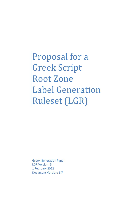Proposal for a Greek Script Root Zone Label Generation Ruleset (LGR)

Greek Generation Panel LGR Version: 5 1 February 2022 Document Version: 6.7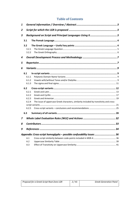## **Table of Contents**

| 1 |       |                                                                                         |    |  |
|---|-------|-----------------------------------------------------------------------------------------|----|--|
| 2 |       |                                                                                         |    |  |
| 3 |       | Background on Script and Principal Languages Using it3                                  |    |  |
|   | 3.1   |                                                                                         |    |  |
|   | 3.2   |                                                                                         |    |  |
|   | 3.2.1 |                                                                                         |    |  |
|   | 3.2.2 |                                                                                         |    |  |
| 4 |       |                                                                                         |    |  |
| 5 |       |                                                                                         |    |  |
| 6 |       |                                                                                         |    |  |
|   | 6.1   |                                                                                         |    |  |
|   | 6.1.1 |                                                                                         |    |  |
|   | 6.1.2 |                                                                                         |    |  |
|   | 6.1.3 |                                                                                         |    |  |
|   | 6.2   |                                                                                         |    |  |
|   | 6.2.1 |                                                                                         |    |  |
|   | 6.2.2 |                                                                                         |    |  |
|   | 6.2.3 |                                                                                         |    |  |
|   | 6.2.4 | The issue of uppercase Greek characters, similarity included by transitivity and cross- |    |  |
|   |       |                                                                                         |    |  |
|   | 6.2.5 |                                                                                         |    |  |
|   | 6.3   |                                                                                         |    |  |
| 7 |       |                                                                                         |    |  |
| 8 |       |                                                                                         | 33 |  |
| 9 |       |                                                                                         | 34 |  |
|   |       | Appendix: Cross-script homoglyphs - possible confusability issues  36                   |    |  |
|   | A.1   |                                                                                         |    |  |
|   | A.2   |                                                                                         |    |  |
|   | A.3   |                                                                                         |    |  |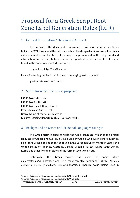# Proposal for a Greek Script Root Zone Label Generation Rules (LGR)

## <span id="page-2-0"></span>1 General Information / Overview / Abstract

The purpose of this document is to give an overview of the proposed Greek LGR in the XML format and the rationale behind the design decisions taken. It includes a discussion of relevant features of the script, the process and methodology used and information on the contributors. The formal specification of the Greek LGR can be found in the accompanying XML document:

proposal-greek-lgr-01feb22-en.xml

Labels for testing can be found in the accompanying text document:

greek-test-labels-01feb22-en.txt

## <span id="page-2-1"></span>2 Script for which the LGR is proposed

ISO 15924 Code: Grek ISO 15924 Key No: 200 ISO 15924 English Name: Greek Property Value Alias: Greek Native Name of the script: Ελληνικά Maximal Starting Repertoire (MSR) version: MSR-5

## <span id="page-2-2"></span>3 Background on Script and Principal Languages Using it

The Greek script is used to write the Greek language, which is the official language of Greece and Cyprus. It is also used by Greeks who live in other countries. Significant Greek population can be found in the European Union Member-States, the United States of America, Australia, Canada, Albania, Turkey, Egypt, South Africa, Russia and other Member-States of the former Soviet Union etc.

Historically, the Greek script was used for some other dialects/forms/variants/languages (e.g. most recently, Karamanli Turkish<sup>1</sup>, Albanian dialects in Greece (Arvanitika<sup>2</sup>), Ladino/Sephardic, a Spanish-Jewish dialect used in

<sup>1</sup> Source: Wikipedia, https://en.wikipedia.org/wiki/Karamanli\_Turkish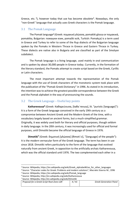Greece, etc.<sup>3</sup>), however today that use has become obsolete<sup>4</sup>. Nowadays, the only "non-Greek" language that actually uses Greek characters is the Pomak language.

#### <span id="page-3-0"></span>3.1 The Pomak Language

The Pomak language**<sup>5</sup>** (Greek: πομακική γλώσσα, pomakiki glossa or πομακικά, pomakika, Bulgarian: помашки език, pomaški ezik, Turkish: Pomakça) is a term used in Greece and Turkey to refer to some of the Rup dialects of the Bulgarian language spoken by the Pomaks in Western Thrace in Greece and Eastern Thrace in Turkey. These dialects are native also in Bulgaria and are classified as part of the Smolyan subdialect.

The Pomak language is a living language, used mainly in oral communication and is spoken by about 30,000 people in Greece today. Currently, in the formation of the literary standard, the Pomaks attempt to create script based on the Greek, Cyrillic or Latin characters.

The most important attempt towards the representation of the Pomak language with the use of Greek characters of the monotonic system took place with the publication of the "Pomak-Greek Dictionary" in 1996. As stated in its introduction, the intention was to achieve the greatest possible correspondence between the Greek and the Pomak alphabet in the way of pronouncing the sounds.

#### <span id="page-3-1"></span>3.2 The Greek Language – Useful key points

**Katharevousa<sup>6</sup>** (Greek: Καθαρεύουσα, [kaθaˈrevusa], lit. "puristic [language]"): It is a form of the Greek language conceived in the early 19th century as a compromise between Ancient Greek and the Modern Greek of the time, with a vocabulary largely based on ancient forms, but a much-simplified grammar. Originally, it was widely used both for literary and official purposes, though seldom in daily language. In the 20th century, it was increasingly used for official and formal purposes, until Dimotiki became the official language of Greece in 1976.

**Dimotiki<sup>7</sup>** (Greek: δημοτική [γλώσσα] [ðimotiˈci], "[language] of the people"): It is the modern vernacular form of the Greek language. The term has been in use since 1818. Dimotiki refers particularly to the form of the language that evolved naturally from ancient Greek, in opposition to the artificially archaic Katharevousa, which was the official standard until 1976. The two complemented each other in a

<sup>6</sup> Source: Wikipedia, http://en.wikipedia.org/wiki/Katharevousa

| <sup>7</sup> Source: Wikipedia, http://en.wikipedia.org/wiki/Dimotiki |      |                               |  |  |  |
|-----------------------------------------------------------------------|------|-------------------------------|--|--|--|
| Proposal for a Greek Script Root Zone LGR                             | 4/41 | <b>Greek Generation Panel</b> |  |  |  |
|                                                                       |      |                               |  |  |  |

<sup>3</sup> Source: Wikipedia, https://en.wikipedia.org/wiki/Greek\_alphabet#Use\_for\_other\_languages

<sup>4</sup> Source: "Character codes for Greek: Problems and modern solutions", Macrakis Stavros M., 1996

<sup>5</sup> Source: Wikipedia, https://en.wikipedia.org/wiki/Pomak\_language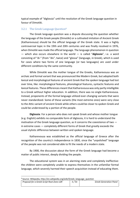typical example of "diglossia" until the resolution of the Greek language question in favour of Dimotiki.

#### <span id="page-4-0"></span>3.2.1 The Greek Language Question<sup>8</sup>

The Greek language question was a dispute discussing the question whether the language of the Greek people (Dimotiki) or a cultivated imitation of Ancient Greek (Katharevousa) should be the official language of the Greek state. It was a highly controversial topic in the 19th and 20th centuries and was finally resolved in 1976, when Dimotiki was made the official language. The language phenomenon in question — which also occurs elsewhere in the world — is called "**diglossia**", i.e. a word consisting of "di-" (from "dis", twice) and "glossa" (language, in Greek), which is used for cases where two forms of one language (or two languages) are used under different conditions by the same community.

While Dimotiki was the mother tongue of the Greeks, Katharevousa was an archaic and formal variant that was pronounced like Modern Greek, but adopted both lexical and morphological features of ancient Greek that the spoken language had lost over time, like: morphological features, phonological features, syntactic features and lexical features. These differences meant that Katharevousa was only partly intelligible to a Greek without higher education. In addition, there was no single Katharevousa. Instead, proponents of the formal language utilized ever-changing variants that were never standardized. Some of these variants (the most extreme ones) were very close to the Attic variant of ancient Greek while others could be closer to spoken Greek and could be understood by a portion of the people.

**Diglossia**: For a person who does not speak Greek and whose mother tongue (e.g. English) exhibits no comparable form of diglossia, it is hard to understand the motivation of the Greek language question, as it concerns the coexistence of two in extreme cases — completely different forms of Greek that greatly exceeds the usual stylistic difference between written and spoken language.

[Katharevousa](http://en.wikipedia.org/wiki/Katharevousa) was established as the official language of Greece after the recognition of the country's independence in 1830, since the "unpolished" language of the people was not considered able to fit the needs of a modern state.

By 1900, the discussion about the form of the Greek language had become a matter of public interest, deeply dividing the people.

The educational system was in an alarming state and completely ineffective: the children were completely unable to express themselves in the unfamiliar formal language, which severely harmed their speech acquisition instead of educating them.

<sup>8</sup> Source: Wikipedia, http://en.wikipedia.org/wiki/Greek\_language\_question

| .                                         |      |                               |
|-------------------------------------------|------|-------------------------------|
| Proposal for a Greek Script Root Zone LGR | 5/41 | <b>Greek Generation Panel</b> |
|                                           |      |                               |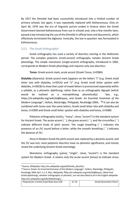By 1917 the Dimotiki had been successfully introduced into a limited number of primary schools; but again, it was repeatedly replaced with Katharevousa. Only on April 30, 1976 was the era of linguistic purism ended in Greece when the Greek Government banned Katharevousa from use in schools and, only a few months later, passed a law introducing the use of the Dimotiki in official texts and documents, which effectively terminated the diglossia. Ironically, the law in question was formulated in Katharevousa.

#### <span id="page-5-0"></span>3.2.2 The Greek Orthography<sup>9</sup>

Greek orthography has used a variety of diacritics starting in the Hellenistic period. The complex polytonic (multi-accent) orthography notates Ancient Greek phonology. The simple monotonic (single-accent) orthography, introduced in 1982, corresponds to Modern Greek phonology and requires only two diacritics:

**Tonos**: Greek accent mark, acute accent (Greek Tonos, U+0384).

**Dialytika** (diaeresis): Greek accent mark (appears on the letters "ϊ" (e.g. Greek small letter iota with dialytika, U+03CA) and "ϋ" (e.g. Greek small letter upsilon with dialytika, U+03CB) to show that a pair of vowel letters is pronounced separately within a syllable, as a phonetic diphthong; rather than as an orthographic digraph (which would be realized as a monophthong phonetically). See, e.g., https://el.wikipedia.org/wiki/Δίφθογγος, and Greek: *An Essential Grammar of the Modern Language*", Holton, Mackridge, Philippaki, Routledge 2004, . **<sup>10</sup>** It can also be combined with tonos over the same letters, Greek small letter iota with dialytika and tonos, U+0390 and Greek small letter upsilon with dialytika and tonos, U+03B0.

Polytonic orthography (πολύς, "many", τόνος "accent") is the standard system for Ancient Greek. The acute accent ( ´ ), the grave accent ( ` ), and the circumflex ( ^ ) indicate different kinds of pitch accent. The rough breathing () indicates the presence of an /h/ sound before a letter, while the smooth breathing ( ᾿ ) indicates the absence of /h/.

Since in Modern Greek the pitch accent was replaced by a dynamic accent, and the /h/ was lost, most polytonic diacritics have no phonetic significance, and merely reveal the underlying Ancient Greek etymology.

Monotonic orthography (μόνος "single", τόνος "accent") is the standard system for Modern Greek. It retains only the acute accent (tonos) to indicate stress

<sup>9</sup> Source: Wikipedia, http://en.wikipedia.org/wiki/Greek\_diacritics

<sup>&</sup>lt;sup>10</sup> Source: Greek: An Essential Grammar of the Modern Language", Holton, Mackridge, Philippaki, Routledge 2004, §§ 1.1-1.3. Also, wikipedia, http://el.wikipedia.org/wiki/Δίφθογγος. [Note that Greek diphthongs, whether orthographic or phonetic, are not described at all in the English wikipedia http://en.wikipedia.org/wiki/Diphthong).] .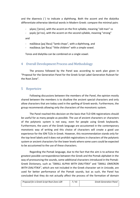and the diaeresis (¨) to indicate a diphthong. Both the accent and the dialytika differentiate otherwise identical words in Modern Greek: compare the minimal pairs

- γέρος ['jeros], with the accent on the first syllable, meaning "old man" vs
- γερός [je'ros], with the accent on the second syllable, meaning "strong"

and

- παϊδάκια [pajˈðaca] "lamb chops", with a diphthong, and
- παιδάκια /peˈðaca/ "little children" with a simple vowel.

Tonos and dialytika can be combined on a single vowel.

## <span id="page-6-0"></span>4 Overall Development Process and Methodology

The process followed by the Panel was according to work plan given in "Proposal for the Generation Panel for the Greek Script Label Generation Ruleset for the Root Zone".

## <span id="page-6-1"></span>5 Repertoire

Following discussions between the members of the Panel, the opinion mostly shared between the members is to disallow the ancient special characters and only allow characters that are today used in the spelling of Greek words. Furthermore, the group recommends allowing only the characters of the monotonic system.

The Panel reached this decision on the basis that TLD IDN registrations should be useful for as many people as possible. The use of ancient characters or characters of the polytonic system is not easy, even for people using Greek keyboards. Furthermore, the users of the Greek language are accustomed in the contemporary monotonic way of writing and this choice of characters will create a good use experience for the IDN TLDs in Greek. However, this recommendation stands only for the top-level labels and it does not prohibit registrations in characters of the polytonic system or ancient characters for the lower levels where some users could be expected to be accustomed to the use of these characters.

Regarding the Pomak language, due to the fact that the aim is to achieve the greatest possible correspondence between the Greek and the Pomak alphabet in the way of pronouncing the sounds, some additional characters introduced in the Pomak-Greek Dictionary, such as *"SMALL ALPHA WITH DIALYTIKA"* and *"SMALL OMICRON WITH DIALYTIKA"*, which are not included in the Greek character set in Unicode, are used for better performance of the Pomak sounds, but as such, the Panel has concluded that they do not actually affect the process of the formation of domain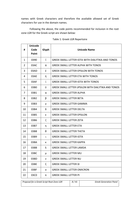names with Greek characters and therefore the available allowed set of Greek characters for use in the domain names.

Following the above, the code points recommended for inclusion in the root zone LGR for the Greek script are shown below:

| #              | <b>Unicode</b><br>Code |       | <b>Unicode Name</b>                                        |
|----------------|------------------------|-------|------------------------------------------------------------|
|                | Point                  | Glyph |                                                            |
| $\mathbf{1}$   | 0390                   | ΰ     | <b>GREEK SMALL LETTER IOTA WITH DIALYTIKA AND TONOS</b>    |
| $\overline{2}$ | 03AC                   | ά     | <b>GREEK SMALL LETTER ALPHA WITH TONOS</b>                 |
| 3              | 03AD                   | έ     | <b>GREEK SMALL LETTER EPSILON WITH TONOS</b>               |
| 4              | 03AE                   | ή     | <b>GREEK SMALL LETTER ETA WITH TONOS</b>                   |
| 5              | 03AF                   | ί     | <b>GREEK SMALL LETTER IOTA WITH TONOS</b>                  |
| 6              | 03B0                   | ΰ     | <b>GREEK SMALL LETTER UPSILON WITH DIALYTIKA AND TONOS</b> |
| 7              | 03B1                   | α     | <b>GREEK SMALL LETTER ALPHA</b>                            |
| 8              | 03B2                   | β     | <b>GREEK SMALL LETTER BETA</b>                             |
| 9              | 03B3                   | γ     | <b>GREEK SMALL LETTER GAMMA</b>                            |
| 10             | 03B4                   | δ     | <b>GREEK SMALL LETTER DELTA</b>                            |
| 11             | 03B5                   | ε     | <b>GREEK SMALL LETTER EPSILON</b>                          |
| 12             | 03B6                   | ζ     | <b>GREEK SMALL LETTER ZETA</b>                             |
| 13             | 03B7                   | η     | <b>GREEK SMALL LETTER ETA</b>                              |
| 14             | 03B8                   | θ     | <b>GREEK SMALL LETTER THETA</b>                            |
| 15             | 03B9                   | ι     | <b>GREEK SMALL LETTER IOTA</b>                             |
| 16             | 03BA                   | к     | <b>GREEK SMALL LETTER KAPPA</b>                            |
| 17             | 03BB                   | λ     | <b>GREEK SMALL LETTER LAMDA</b>                            |
| 18             | 03BC                   | μ     | <b>GREEK SMALL LETTER MU</b>                               |
| 19             | 03BD                   | ν     | <b>GREEK SMALL LETTER NU</b>                               |
| 20             | 03BE                   | ξ     | <b>GREEK SMALL LETTER XI</b>                               |
| 21             | 03BF                   | 0     | <b>GREEK SMALL LETTER OMICRON</b>                          |
| 22             | 03C0                   | π     | <b>GREEK SMALL LETTER PI</b>                               |

#### Table 1: Greek LGR Repertoire

**Proposal for a Greek Script Root Zone LGR 8/41 Greek Generation Panel**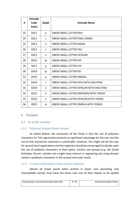|    | <b>Unicode</b> |             |                                                  |
|----|----------------|-------------|--------------------------------------------------|
| #  | Code           | Glyph       | <b>Unicode Name</b>                              |
|    | Point          |             |                                                  |
| 23 | 03C1           | ρ           | <b>GREEK SMALL LETTER RHO</b>                    |
| 24 | 03C2           | $\varsigma$ | <b>GREEK SMALL LETTER FINAL SIGMA</b>            |
| 25 | 03C3           | σ           | <b>GREEK SMALL LETTER SIGMA</b>                  |
| 26 | 03C4           | τ           | <b>GREEK SMALL LETTER TAU</b>                    |
| 27 | 03C5           | U           | <b>GREEK SMALL LETTER UPSILON</b>                |
| 28 | 03C6           | ф           | <b>GREEK SMALL LETTER PHI</b>                    |
| 29 | 03C7           | X           | <b>GREEK SMALL LETTER CHI</b>                    |
| 30 | 03C8           | ψ           | <b>GREEK SMALL LETTER PSI</b>                    |
| 31 | 03C9           | ω           | <b>GREEK SMALL LETTER OMEGA</b>                  |
| 32 | 03CA           | ï           | <b>GREEK SMALL LETTER IOTA WITH DIALYTIKA</b>    |
| 33 | 03CB           | Ü           | <b>GREEK SMALL LETTER UPSILON WITH DIALYTIKA</b> |
| 34 | 03CC           | ó           | <b>GREEK SMALL LETTER OMICRON WITH TONOS</b>     |
| 35 | 03CD           | ύ           | <b>GREEK SMALL LETTER UPSILON WITH TONOS</b>     |
| 36 | 03CE           | ώ           | <b>GREEK SMALL LETTER OMEGA WITH TONOS</b>       |

#### <span id="page-8-0"></span>6 Variants

#### <span id="page-8-1"></span>6.1 In-script variants

#### <span id="page-8-2"></span>6.1.1 Polytonic Domain Name Variants

As stated before, the conclusion of the Panel is that the use of polytonic characters for TLD registration presents no significant advantage for the user and the use of only monotonic characters is preferable. However, this might not be the case for second-level registrations and the registries should be encouraged to decide upon the use of polytonic characters in their policy. Certain user groups (e.g. the Greek Orthodox Church, scholars etc.) might have interest in registering and using domain names in polytonic characters in the second and lower levels.

#### <span id="page-8-3"></span>6.1.2 Vowels with/without Tonos and/or Dialytika

Almost all Greek words when written in lower case (excluding only monosyllabic words) must have the tonos over one of their vowels to be spelled

| Proposal for a Greek Script Root Zone LGR | 9/41 | <b>Greek Generation Panel</b> |
|-------------------------------------------|------|-------------------------------|
|                                           |      |                               |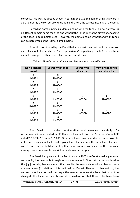correctly. This way, as already shown in paragraph 3.1.2, the person using this word is able to identify the correct pronunciation and, often, the correct meaning of the word.

Regarding domain names, a domain name with the tonos sign over a vowel is a different domain name than the one without the tonos due to the different encoding of the specific code points used. However, the domain name without and with tonos can be perceived as the 'same' domain name.

Thus, it is considered by the Panel that vowels with and without tonos and/or dialytika should be handled as "in-script variants" respectively. Table 2 shows these variants arranged by their respective non-accented vowel:

| Non-accented<br>vowel | <b>Vowel with tonos</b> | <b>Vowel with</b><br>dialytika | <b>Vowel with tonos</b><br>and dialytika |
|-----------------------|-------------------------|--------------------------------|------------------------------------------|
| $\alpha$              | ά                       |                                |                                          |
| $U+03B1$              | $U+03AC$                |                                |                                          |
| ε                     | έ                       |                                |                                          |
| U+03B5                | $U+03AD$                |                                |                                          |
|                       |                         |                                |                                          |
| U+03B7                | $U+03AE$                |                                |                                          |
|                       |                         |                                |                                          |
| U+03B9                | $U+03AF$                | $U+03CA$                       | $U + 0390$                               |
| Ω                     | ó                       |                                |                                          |
| $U+O3BF$              | <b>U+03CC</b>           |                                |                                          |
| $\mathbf{U}$          | ú                       | Ü                              | ΰ                                        |
| $U+03C5$              | U+03CD                  | U+03CB                         | U+03B0                                   |
| ω                     | ώ                       |                                |                                          |
| U+03C9                | U+03CE                  |                                |                                          |

Table 2: Non-Accented Vowels and Respective Accented Vowels

The Panel took under consideration and examined carefully IP's recommendations as stated in "IP Review of Variants for the Proposed Greek LGR dated 2019-09-01", dated 2019-12-04, where it was recommended, as far as possible, not to introduce variant sets made up of a base character and the same base character with a tonos and/or dialytika, stating that this introduces complexity in the root zone as may create undesirable in-script variants in other scripts.

The Panel, being aware of the fact that since 2005 the Greek speaking Internet community has been able to register domain names in Greek at the second level in the [.gr] domain, has concluded that despite the relatively small number of these domain names (in relation to Internationalized Domain Names in other scripts), the current rules have formed the respective user experience at a level that cannot be changed. The Panel has also taken into consideration that these rules have been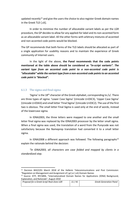updated recently<sup>11</sup> and give the users the choice to also register Greek domain names in the Greek TLD [.ελ].

In order to minimize the number of allocatable variant labels as per the LGR procedure, the GP decides to allow for any applied-for label and its non-accented form as an allocatable variant label. All the other forms with arbitrary mixtures of accented and non-accented code points would be blocked.

The GP recommends that both forms of the TLD labels should be allocated as part of a single application for usability reasons and to maintain the experience of Greek community of Internet users.

In the light of the above, **the Panel recommends that the code points mentioned at the table above should be considered as** *"in-script variants". The variant type from an accented code point to a non-accented code point is "allocatable" while the variant type from a non-accented code points to an accented code point is "blocked".* 

#### <span id="page-10-0"></span>6.1.3 The sigma and final sigma

'Sigma' is the  $18<sup>th</sup>$  character of the Greek alphabet, corresponding to /s/. There are three types of sigma: 'Lower Case Sigma' (Unicode U+03C3), 'Upper Case Sigma' (Unicode U+03A3) and small letter 'Final Sigma' (Unicode U+03C2). The use of the first two is obvious. The small letter Final Sigma is used only at the end of words, instead of the lowercase sigma.

In IDNA2003, the three letters were mapped to one another and the small letter final sigma was replaced by the IDNA2003 processor by the letter small sigma. When a final sigma was used, the translation of a word from the Punycode was not satisfactory because the Nameprep translation had converted it to a small letter sigma.

In IDNA2008 a different approach was followed. The following paragraphs $12$ explain the rationale behind the decision:

*"In IDNA2003, all characters are case folded and mapped by clients in a standardized step.*

<sup>11</sup> Decision 843/2/01 March 2018 of the Hellenic Telecommunications and Post Commission: "Regulation on Management and Assignment of [.gr] or [.ελ] Domain Names

<sup>12</sup> Source: IETF, RFC5894, "Internationalized Domain Names for Applications (IDNA) Background, Explanation, and Rationale", August 2010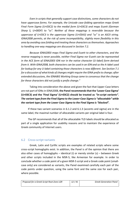*Even in scripts that generally support case distinctions, some characters do not have uppercase forms. For example, the Unicode case-folding operation maps Greek Final Form Sigma (U+03C2) to the medial form (U+03C3) and maps Eszett (German Sharp S, U+00DF) to "ss". Neither of these mappings is reversible because the uppercase of U+03C3 is the uppercase Sigma (U+03A3) and "ss" is an ASCII string. IDNA2008 permits, at the risk of some incompatibility, slightly more flexibility in this area by avoiding case folding and treating these characters as themselves. Approaches to handling one-way mappings are discussed in Section 7.2.*

*Because IDNA2003 maps Final Sigma and Eszett to other characters, and the reverse mapping is never possible, neither Final Sigma nor Eszett can be represented in the ACE form of IDNA2003 IDN nor in the native character (U-label) form derived from it. With IDNA2008, both characters can be used in an IDN and so the A-label used for lookup for any U-label containing those characters is now different. See Section 7.1 for a discussion of what kinds of changes might require the IDNA prefix to change; after extended discussions, the IDNABIS Working Group came to consensus that the change for these characters did not justify a prefix change."*

Taking into consideration the above and given the fact that Upper-Case letters are not part of IDNs in IDNA2008, **the Panel recommendsthat the 'Lower Case Sigma' (U+03C3) and the 'Final Sigma' (U+03C2) should be treated as** *"in-script variants". The variant type from the Final Sigma to the Lower-Case Sigma is "allocatable" while the variant type from the Lower Case Sigma to the Final Sigma is "blocked".* 

If these two variant scenarios in 6.1.2 and 6.1.3 (accents and sigma) are in the same label, the maximal number of allocatable variants per original label is four.

The GP recommends that all of the allocatable TLD labels should be allocated as part of a single application for usability reasons and to maintain the experience of Greek community of Internet users.

#### <span id="page-11-0"></span>6.2 Cross-script variants

Greek, Latin and Cyrillic scripts are examples of related scripts where some cross-script homoglyphs exist. In addition, the Panel is of the opinion that there are also other cases of homoglyphs – identical (i) or merely similar (s) – between Greek and other scripts included in the MSR-5, like Armenian for example. In order to conclude whether a code point of a given MSR-5 script and a Greek code point (smallcase only) are considered as variants, the Panel examined carefully each pair of the code points under question, using the same font and the same size for each pair, where possible.

| Proposal for a Greek Script Root Zone LGR | 12/41 | <b>Greek Generation Panel</b> |
|-------------------------------------------|-------|-------------------------------|
|                                           |       |                               |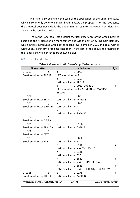The Panel also examined the case of the application of the underline style, which is commonly done to highlight hyperlinks. As the proposal is for the root-zone, the proposal does not include the underlining cases into the variant consideration. These can be listed as similar cases.

Finally, the Panel took into account the user experience of the Greek Internet users and the "Regulation on Management and Assignment of .GR Domain Names", which initially introduced Greek at the second level domain in 2005 and deals with it without any significant problems since then. In the light of the above, the findings of the Panel's analysis per script are shown below:

#### <span id="page-12-0"></span>6.2.1 Greek and Latin

| <b>Greek Letter</b>             | <b>Latin Letter</b>                        | i/s |
|---------------------------------|--------------------------------------------|-----|
| U+03B1<br>α                     | $U + 0061$<br>a                            |     |
| <b>Greek small letter ALPHA</b> | LATIN small letter A                       |     |
|                                 | $U + 0251$<br>a                            |     |
|                                 | Latin small letter ALPHA                   |     |
|                                 | U+0061+U+0331<br>a                         | S   |
|                                 | LATIN small letter A + COMBINING MACRON    |     |
|                                 | <b>BELOW</b>                               |     |
| U+03B2<br>β                     | ß<br>$U+00DF$                              | i   |
| <b>Greek small letter BETA</b>  | Latin small letter SHARP S                 |     |
| $U+03B3$<br>γ                   | $U + 0079$<br><b>y</b>                     | i.  |
| <b>Greek small letter GAMMA</b> | Latin small letter Y                       |     |
|                                 | $U + 0263$<br>γ                            |     |
|                                 | Latin small letter GAMMA                   |     |
| δ<br>U+03B4                     |                                            |     |
| <b>Greek small letter DELTA</b> |                                            |     |
| U+03B5<br>ε                     | $U+025B$<br>ε                              | Ť   |
| Greek small letter EPSILON      | Latin small letter OPEN E                  |     |
| $U+03B6$<br>ζ                   |                                            |     |
| Greek small letter ZETA         |                                            |     |
| U+03B7<br>n                     | $U+006E$<br>n.                             | i.  |
| <b>Greek small letter ETA</b>   | Latin small letter N                       |     |
|                                 | $U + 0146$<br>n                            | S   |
|                                 | Latin small letter N WITH CEDILLA          |     |
|                                 | $U+014B$<br>$\eta$                         |     |
|                                 | Latin small letter ENG                     |     |
|                                 | $U+1E49$<br>n                              | S   |
|                                 | Latin small letter N WITH LINE BELOW       |     |
|                                 | $U+1E4B$<br>ņ                              | S   |
|                                 | Latin small letter N WITH CIRCUMFLEX BELOW |     |
| U+03B8<br>A                     | $U + 0275$<br>$\theta$                     | S   |
| <b>Greek small letter THETA</b> | Latin small letter BARRED O                |     |

#### Table 3: Greek and Latin Cross-Script Variant Analysis

| <b>Greek Generation Panel</b> |
|-------------------------------|
| 13/41                         |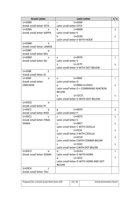| <b>Greek Letter</b>             | <b>Latin Letter</b>                     | i/s |
|---------------------------------|-----------------------------------------|-----|
| U+03B9<br>$\mathsf{L}$          | $U + 0269$<br>$\mathsf{L}$              |     |
| Greek small letter IOTA         | Latin small letter IOTA                 |     |
| U+03BA<br>к                     | $\mathsf{k}$<br>$U+OO6B$                | S   |
| <b>Greek small letter KAPPA</b> | Latin small letter K                    |     |
|                                 | k<br>$U + 0199$                         | S   |
|                                 | Latin small letter K WITH HOOK          |     |
| U+03BB<br>λ                     |                                         |     |
| Greek small letter LAMDA        |                                         |     |
| $U+03BC$<br>$\mu$               |                                         |     |
| Greek small letter MU           |                                         |     |
| U+03BD<br>ν                     | $U + 0076$<br>$\mathsf{V}$              | i   |
| Greek small letter NU           | Latin small letter V                    |     |
|                                 | $U+1E7F$<br>v                           | S   |
|                                 | Latin small letter V WITH DOT BELOW     |     |
| ξ<br>$U+03BE$                   |                                         |     |
| Greek small letter XI           |                                         |     |
| $U+03BF$<br>$\Omega$            | U+006F<br>$\Omega$                      | i.  |
| Greek small letter              | Latin small letter O                    |     |
| <b>OMICRON</b>                  | 0 U+006F+U+0331                         | s   |
|                                 | Latin small letter O + COMBINING MACRON |     |
|                                 | <b>BELOW</b>                            |     |
|                                 | 0 U+1ECD                                | S   |
|                                 | Latin small letter O WITH DOT BELOW     |     |
| U+03C0<br>π                     |                                         |     |
| <b>Greek small letter PI</b>    |                                         |     |
| $U+03C1$<br>$\rho$              | $U + 0070$<br>p                         | S   |
| Greek small letter RHO          | Latin small letter P                    |     |
| U+03C2<br>$\varsigma$           | $U + 0073$<br>$\mathsf{S}$              | S   |
| <b>Greek small letter FINAL</b> | Latin small letter S                    |     |
| <b>SIGMA</b>                    | U+00E7<br>Ç                             | s   |
|                                 | Latin small letter C WITH CEDILLA       |     |
|                                 | $U+015F$<br>Ş                           | S   |
|                                 | Latin small letter S WITH CEDILLA       |     |
|                                 | $U + 0219$<br>Ş                         | s   |
|                                 | Latin small letter S WITH COMMA BELOW   |     |
|                                 | $U+1E63$<br>s                           | s   |
|                                 | Latin small letter S WITH DOT BELOW     |     |
| $U+03C3$<br>σ                   | $U+01A1$<br>α                           | S   |
| Greek small letter SIGMA        | Latin small letter O WITH HORN          |     |
|                                 | $U+1EE3$<br>$\alpha$                    | S   |
|                                 | Latin small letter O WITH HORN AND DOT  |     |
|                                 | <b>BELOW</b>                            |     |
| U+03C4<br>τ                     |                                         |     |
| Greek small letter TAU          |                                         |     |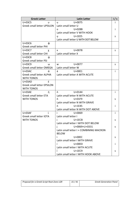| <b>Greek Letter</b>               | <b>Latin Letter</b>                     | i/s |
|-----------------------------------|-----------------------------------------|-----|
| U+03C5<br>U                       | $U + 0075$<br>u                         |     |
| <b>Greek small letter UPSILON</b> | Latin small letter U                    |     |
|                                   | $U+028B$<br>IJ.                         |     |
|                                   | Latin small letter V WITH HOOK          |     |
|                                   | $U+1EE5$<br>Ų.                          | S   |
|                                   | Latin small letter U WITH DOT BELOW     |     |
| U+03C6<br>ф                       |                                         |     |
| <b>Greek small letter PHI</b>     |                                         |     |
| U+03C7<br>χ                       | $U + 0078$<br>X.                        | S   |
| Greek small letter CHI            | Latin small letter X                    |     |
| U+03C8<br>ψ                       |                                         |     |
| <b>Greek small letter PSI</b>     |                                         |     |
| U+03C9<br>ω                       | $U + 0077$<br>w                         | S   |
| <b>Greek small letter OMEGA</b>   | Latin small letter W                    |     |
| ά<br>$U+03AC$                     | á<br>$U+00E1$                           | i   |
| <b>Greek small letter ALPHA</b>   | Latin small letter A WITH ACUTE         |     |
| WITH TONOS                        |                                         |     |
| έ<br>U+03AD                       |                                         |     |
| <b>Greek small letter EPSILON</b> |                                         |     |
| WITH TONOS                        |                                         |     |
| ή<br>$U+03AE$                     | ń<br>$U + 0144$                         | Ť   |
| Greek small letter ETA            | Latin small letter N WITH ACUTE         |     |
| <b>WITH TONOS</b>                 | 'n.<br>$U+01F9$                         | S   |
|                                   | Latin small letter N WITH GRAVE         |     |
|                                   | $U+1E45$<br>ń                           |     |
|                                   | Latin small letter N WITH DOT ABOVE     |     |
| $U+03AF$                          | i.<br>U+0069                            |     |
| Greek small letter IOTA           | Latin small letter I                    |     |
| <b>WITH TONOS</b>                 | $U+1ECB$                                | s   |
|                                   | Latin small letter I WITH DOT BELOW     |     |
|                                   | U+0069+U+0331<br>T                      | S   |
|                                   | Latin small letter I + COMBINING MACRON |     |
|                                   | <b>BELOW</b>                            |     |
|                                   | $U+00EC$<br>Ť                           | s   |
|                                   | Latin small letter I WITH GRAVE         |     |
|                                   | í<br>$U+00ED$                           |     |
|                                   | Latin small letter I WITH ACUTE         |     |
|                                   | ì<br>$U+1EC9$                           | s   |
|                                   | Latin small letter I WITH HOOK ABOVE    |     |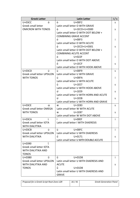| <b>Greek Letter</b>               | <b>Latin Letter</b>                                                                                                                                                                                                                                                                                                                                            | i/s |
|-----------------------------------|----------------------------------------------------------------------------------------------------------------------------------------------------------------------------------------------------------------------------------------------------------------------------------------------------------------------------------------------------------------|-----|
| U+03CC<br>ó                       | ò<br>$U+00F2$                                                                                                                                                                                                                                                                                                                                                  | S   |
| <b>Greek small letter</b>         | Latin small letter O WITH GRAVE                                                                                                                                                                                                                                                                                                                                |     |
| <b>OMICRON WITH TONOS</b>         | ò U+1ECD+U+0300                                                                                                                                                                                                                                                                                                                                                | S   |
|                                   | Latin small letter O WITH DOT BELOW +                                                                                                                                                                                                                                                                                                                          |     |
|                                   | <b>COMBINING GRAVE ACCENT</b>                                                                                                                                                                                                                                                                                                                                  |     |
|                                   | ó<br>$U+00F3$                                                                                                                                                                                                                                                                                                                                                  |     |
|                                   | Latin small letter O WITH ACUTE                                                                                                                                                                                                                                                                                                                                |     |
|                                   | ó U+1ECD+U+0301                                                                                                                                                                                                                                                                                                                                                | S   |
|                                   | Latin small letter O WITH DOT BELOW +                                                                                                                                                                                                                                                                                                                          |     |
|                                   | <b>COMBINING ACUTE ACCENT</b>                                                                                                                                                                                                                                                                                                                                  |     |
|                                   | $U+022F$<br>$\dot{\mathbf{O}}$                                                                                                                                                                                                                                                                                                                                 |     |
|                                   | Latin small letter O WITH DOT ABOVE                                                                                                                                                                                                                                                                                                                            |     |
|                                   | ò<br>$U+1ECF$                                                                                                                                                                                                                                                                                                                                                  | s   |
|                                   | Latin small letter O WITH HOOK ABOVE                                                                                                                                                                                                                                                                                                                           |     |
| ú<br>U+03CD                       | $\mathbf{\hat{u}}$ and $\mathbf{\hat{u}}$ and $\mathbf{\hat{u}}$ and $\mathbf{\hat{u}}$ and $\mathbf{\hat{u}}$ and $\mathbf{\hat{u}}$ and $\mathbf{\hat{u}}$ and $\mathbf{\hat{u}}$ and $\mathbf{\hat{u}}$ and $\mathbf{\hat{u}}$ and $\mathbf{\hat{u}}$ and $\mathbf{\hat{u}}$ and $\mathbf{\hat{u}}$ and $\mathbf{\hat{u}}$ and $\mathbf{\hat{u}}$<br>U+00F9 | S   |
| <b>Greek small letter UPSILON</b> | Latin small letter U WITH GRAVE                                                                                                                                                                                                                                                                                                                                |     |
| <b>WITH TONOS</b>                 | ú<br>U+00FA                                                                                                                                                                                                                                                                                                                                                    |     |
|                                   | Latin small letter U WITH ACUTE                                                                                                                                                                                                                                                                                                                                |     |
|                                   | ů<br>$U+1EE7$                                                                                                                                                                                                                                                                                                                                                  | s   |
|                                   | Latin small letter U WITH HOOK ABOVE                                                                                                                                                                                                                                                                                                                           |     |
|                                   | ú' U+1EE9                                                                                                                                                                                                                                                                                                                                                      | s   |
|                                   | Latin small letter U WITH HORN AND ACUTE                                                                                                                                                                                                                                                                                                                       |     |
|                                   | ù<br>$U+1EEB$                                                                                                                                                                                                                                                                                                                                                  | S   |
|                                   | Latin small letter U WITH HORN AND GRAVE                                                                                                                                                                                                                                                                                                                       |     |
| <b>U+03CE</b><br>ώ                | $\mathsf{w}$<br>U+1E83                                                                                                                                                                                                                                                                                                                                         | S   |
| Greek small letter OMEGA          | Latin small letter W WITH ACUTE                                                                                                                                                                                                                                                                                                                                |     |
| <b>WITH TONOS</b>                 | Ŵ<br>U+1E87                                                                                                                                                                                                                                                                                                                                                    | S   |
|                                   | Latin small letter W WITH DOT ABOVE                                                                                                                                                                                                                                                                                                                            |     |
| ï<br>U+03CA                       | ï<br>$U+00EF$                                                                                                                                                                                                                                                                                                                                                  | Ť   |
| Greek small letter IOTA           | Latin small letter I WITH DIAERESIS                                                                                                                                                                                                                                                                                                                            |     |
| <b>WITH DIALYTIKA</b>             |                                                                                                                                                                                                                                                                                                                                                                |     |
| Ü<br>$U+03CB$                     | ü<br>$U+00FC$                                                                                                                                                                                                                                                                                                                                                  | i.  |
| <b>Greek small letter UPSILON</b> | Latin small letter U WITH DIAERESIS                                                                                                                                                                                                                                                                                                                            |     |
| <b>WITH DIALYTIKA</b>             | ű<br>$U + 0171$                                                                                                                                                                                                                                                                                                                                                | s   |
|                                   | Latin small letter U WITH DOUBLE ACCUTE                                                                                                                                                                                                                                                                                                                        |     |
| ΰ<br>U+0390                       |                                                                                                                                                                                                                                                                                                                                                                |     |
| Greek small letter IOTA           |                                                                                                                                                                                                                                                                                                                                                                |     |
| WITH DIALYTIKA AND                |                                                                                                                                                                                                                                                                                                                                                                |     |
| <b>TONOS</b>                      |                                                                                                                                                                                                                                                                                                                                                                |     |
| ΰ<br>U+03B0                       | ű<br>$U+01D8$                                                                                                                                                                                                                                                                                                                                                  | i.  |
| <b>Greek small letter UPSILON</b> | Latin small letter U WITH DIAERESIS AND                                                                                                                                                                                                                                                                                                                        |     |
| WITH DIALYTIKA AND                | <b>ACUTE</b>                                                                                                                                                                                                                                                                                                                                                   | S   |
| <b>TONOS</b>                      | ù<br>$U+01D8$                                                                                                                                                                                                                                                                                                                                                  |     |
|                                   | Latin small letter U WITH DIAERESIS AND                                                                                                                                                                                                                                                                                                                        |     |
|                                   | <b>GRAVE</b>                                                                                                                                                                                                                                                                                                                                                   |     |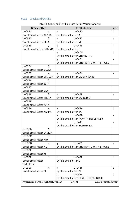## <span id="page-16-0"></span>6.2.2 Greek and Cyrillic

| <b>Cyrillic Letter</b><br><b>Greek Letter</b>                                       |                                         | i/s                     |                                              |    |
|-------------------------------------------------------------------------------------|-----------------------------------------|-------------------------|----------------------------------------------|----|
| $U+03B1$<br>α                                                                       | a                                       | $U + 0430$              |                                              | i  |
| Greek small letter ALPHA                                                            |                                         | Cyrillic small letter A |                                              |    |
| U+03B2<br>β                                                                         | B                                       | $U + 0432$              |                                              |    |
| Greek small letter BETA                                                             | Cyrillic small letter VE                |                         |                                              |    |
| $U+03B3$<br>γ                                                                       | y                                       | $U + 0443$              |                                              | İ  |
| <b>Greek small letter GAMMA</b>                                                     | Cyrillic small letter U                 |                         |                                              |    |
|                                                                                     | Y                                       | $U+04AF$                |                                              | i  |
|                                                                                     |                                         |                         | Cyrillic small letter STRAIGHT U             |    |
|                                                                                     | ¥                                       | $U+04B1$                |                                              | S  |
|                                                                                     |                                         |                         | Cyrillic small letter STRAIGHT U WITH STROKE |    |
| δ<br>U+03B4                                                                         |                                         |                         |                                              |    |
| Greek small letter DELTA                                                            |                                         |                         |                                              |    |
| U+03B5<br>ε                                                                         | $\epsilon$                              | $U + 0454$              |                                              | S  |
| <b>Greek small letter EPSILON</b>                                                   |                                         |                         | Cyrillic small letter UKRAINIAN IE           |    |
| U+03B6<br>ζ                                                                         |                                         |                         |                                              |    |
| Greek small letter ZETA                                                             |                                         |                         |                                              |    |
| U+03B7<br>n                                                                         |                                         |                         |                                              |    |
| Greek small letter ETA                                                              |                                         |                         |                                              |    |
| U+03B8<br>Θ                                                                         | $\Theta$                                | $U+04E9$                |                                              | S  |
| <b>Greek small letter THETA</b>                                                     | Cyrillic small letter BARRED O          |                         |                                              |    |
| U+03B9<br>$\mathsf{L}$                                                              |                                         |                         |                                              |    |
| Greek small letter IOTA                                                             |                                         |                         |                                              |    |
| U+03BA<br>к                                                                         | к                                       | $U+043A$                |                                              | i. |
| Greek small letter KAPPA                                                            | Cyrillic small letter KA                |                         |                                              |    |
|                                                                                     | K,                                      | U+049B                  |                                              | s  |
|                                                                                     | Cyrillic small letter KA WITH DESCENDER |                         |                                              |    |
|                                                                                     | к                                       | U+04A1                  |                                              | S  |
|                                                                                     |                                         |                         | Cyrillic small letter BASHKIR KA             |    |
| λ<br>$U+03BB$                                                                       |                                         |                         |                                              |    |
| Greek small letter LAMDA                                                            |                                         |                         |                                              |    |
| $U+03BC$<br>μ                                                                       |                                         |                         |                                              |    |
| Greek small letter MU                                                               |                                         |                         |                                              |    |
| $U+03BD$<br>ν                                                                       | Υ                                       | $U+04B1$                |                                              | S  |
| Greek small letter NU                                                               |                                         |                         | Cyrillic small letter STRAIGHT U WITH STROKE |    |
| ξ<br>$U+O3BE$                                                                       |                                         |                         |                                              |    |
| <b>Greek small letter XI</b>                                                        |                                         |                         |                                              |    |
| $U+O3BF$<br>O                                                                       | $U+043E$<br>0                           |                         | j.                                           |    |
| Greek small letter                                                                  | Cyrillic small letter O                 |                         |                                              |    |
| <b>OMICRON</b>                                                                      |                                         |                         |                                              |    |
| U+03C0<br>π                                                                         | $U+043F$<br>п.                          |                         | s                                            |    |
| <b>Greek small letter PI</b>                                                        | Cyrillic small letter PE                |                         |                                              |    |
|                                                                                     | $U + 0525$<br>Ц                         |                         | S                                            |    |
|                                                                                     | Cyrillic small letter PE WITH DESCENDER |                         |                                              |    |
| Proposal for a Greek Script Root Zone LGR<br><b>Greek Generation Panel</b><br>17/41 |                                         |                         |                                              |    |
|                                                                                     |                                         |                         |                                              |    |

| Table 4: Greek and Cyrillic Cross-Script Variant Analysis |  |
|-----------------------------------------------------------|--|
|                                                           |  |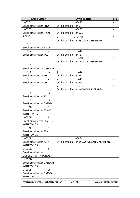| <b>Greek Letter</b>                       | <b>Cyrillic Letter</b>                       | i/s |  |
|-------------------------------------------|----------------------------------------------|-----|--|
| U+03C1<br>ρ                               | $U + 0440$<br>p                              | S   |  |
| Greek small letter RHO                    | <b>Cyrillic small letter ER</b>              |     |  |
| U+03C2<br>ς                               | $U + 0455$<br>S                              |     |  |
| <b>Greek small letter FINAL</b>           | Cyrillic small letter DZE                    |     |  |
| <b>SIGMA</b>                              | $U+04AB$<br>Ç                                | S   |  |
|                                           | Cyrillic small letter ES WITH DESCENDER      |     |  |
| U+03C3<br>σ                               |                                              |     |  |
| Greek small letter SIGMA                  |                                              |     |  |
| U+03C4<br>τ                               | $U + 0442$<br>T                              | i   |  |
| Greek small letter TAU                    | Cyrillic small letter TE                     |     |  |
|                                           | $U+04AD$<br>τ                                | S   |  |
|                                           | Cyrillic small letter TE WITH DESCENDER      |     |  |
| U+03C5<br>U                               |                                              |     |  |
| <b>Greek small letter UPSILON</b>         |                                              |     |  |
| U+03C6<br>Φ                               | Φ<br>$U + 0444$                              | İ   |  |
| <b>Greek small letter PHI</b>             | Cyrillic small letter EF                     |     |  |
| U+03C7<br>χ                               | $U + 0445$<br>X                              | S   |  |
| <b>Greek small letter CHI</b>             | Cyrillic small letter HA                     |     |  |
|                                           | $U+04B3$<br>X,                               | S   |  |
|                                           | Cyrillic small letter HA WITH DESCENDER      |     |  |
| U+03C8<br>ψ                               |                                              |     |  |
| <b>Greek small letter PSI</b>             |                                              |     |  |
| $U+03C9$<br>ω<br>Greek small letter OMEGA |                                              |     |  |
| ά<br><b>U+03AC</b>                        |                                              |     |  |
| <b>Greek small letter ALPHA</b>           |                                              |     |  |
| <b>WITH TONOS</b>                         |                                              |     |  |
| έ<br>$U+03AD$                             |                                              |     |  |
| <b>Greek small letter EPSILON</b>         |                                              |     |  |
| <b>WITH TONOS</b>                         |                                              |     |  |
| $U+03AE$<br>ή                             |                                              |     |  |
| <b>Greek small letter ETA</b>             |                                              |     |  |
| <b>WITH TONOS</b>                         |                                              |     |  |
| ί<br>$U+03AF$                             | i<br>$U + 0456$                              | j   |  |
| Greek small letter IOTA                   | Cyrillic small letter BYELORUSSIAN-UKRAINIAN |     |  |
| <b>WITH TONOS</b>                         |                                              |     |  |
| ó<br>U+03CC                               |                                              |     |  |
| <b>Greek small letter</b>                 |                                              |     |  |
| <b>OMICRON WITH TONOS</b>                 |                                              |     |  |
| Ú<br>$U+03CD$                             |                                              |     |  |
| <b>Greek small letter UPSILON</b>         |                                              |     |  |
| <b>WITH TONOS</b>                         |                                              |     |  |
| ώ<br>$U+03CE$                             |                                              |     |  |
| <b>Greek small letter OMEGA</b>           |                                              |     |  |
| <b>WITH TONOS</b>                         |                                              |     |  |
| Proposal for a Greek Script Root Zone LGR | 18/41<br><b>Greek Generation Panel</b>       |     |  |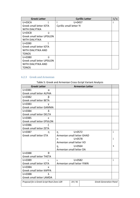| <b>Greek Letter</b>               | <b>Cyrillic Letter</b>   | i/s |
|-----------------------------------|--------------------------|-----|
| $U+03CA$                          | U+0457                   |     |
| Greek small letter IOTA           | Cyrillic small letter YI |     |
| WITH DIALYTIKA                    |                          |     |
| ü<br>$U+03CB$                     |                          |     |
| <b>Greek small letter UPSILON</b> |                          |     |
| <b>WITH DIALYTIKA</b>             |                          |     |
| $\cdot \cdot$<br>$U + 0390$       |                          |     |
| Greek small letter IOTA           |                          |     |
| WITH DIALYTIKA AND                |                          |     |
| <b>TONOS</b>                      |                          |     |
| $\cdot \cdot$<br>$U+03B0$<br>υ    |                          |     |
| <b>Greek small letter UPSILON</b> |                          |     |
| WITH DIALYTIKA AND                |                          |     |
| TONOS                             |                          |     |

### <span id="page-18-0"></span>6.2.3 Greek and Armenian

Table 5: Greek and Armenian Cross-Script Variant Analysis

| <b>Greek Letter</b>                       | <b>Armenian Letter</b>                 |   |  |  |
|-------------------------------------------|----------------------------------------|---|--|--|
| U+03B1<br>α                               |                                        |   |  |  |
| <b>Greek small letter ALPHA</b>           |                                        |   |  |  |
| $U+03B2$                                  |                                        |   |  |  |
| <b>Greek small letter BETA</b>            |                                        |   |  |  |
| $U+03B3$<br>ν                             |                                        |   |  |  |
| Greek small letter GAMMA                  |                                        |   |  |  |
| δ<br>U+03B4                               |                                        |   |  |  |
| <b>Greek small letter DELTA</b>           |                                        |   |  |  |
| U+03B5<br>ε                               |                                        |   |  |  |
| <b>Greek small letter EPSILON</b>         |                                        |   |  |  |
| U+03B6<br>ζ                               |                                        |   |  |  |
| Greek small letter ZETA                   |                                        |   |  |  |
| $U+03B7$<br>n                             | $U + 0572$<br>n                        |   |  |  |
| <b>Greek small letter ETA</b>             | Armenian small letter GHAD             |   |  |  |
|                                           | $U + 0578$<br>Ť<br>n                   |   |  |  |
| Armenian small letter VO                  |                                        |   |  |  |
|                                           | $U + 0564$<br>$\eta$                   | S |  |  |
|                                           | Armenian small letter DA               |   |  |  |
| $\theta$<br>U+03B8                        |                                        |   |  |  |
| <b>Greek small letter THETA</b>           |                                        |   |  |  |
| U+03B9<br>$\mathbf{I}$                    | $U + 0582$<br>L                        | j |  |  |
| Greek small letter IOTA                   | Armenian small letter YIWN             |   |  |  |
| $U+03BA$<br>к                             |                                        |   |  |  |
| Greek small letter KAPPA                  |                                        |   |  |  |
| $U+03BB$<br>λ                             |                                        |   |  |  |
| Greek small letter LAMDA                  |                                        |   |  |  |
| Proposal for a Greek Script Root Zone LGR | 19/41<br><b>Greek Generation Panel</b> |   |  |  |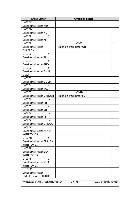| <b>Greek Letter</b>             | <b>Armenian Letter</b>    |   |
|---------------------------------|---------------------------|---|
| $U+O3BC$<br>μ                   |                           |   |
| Greek small letter MU           |                           |   |
| $U+03BD$<br>ν                   |                           |   |
| Greek small letter NU           |                           |   |
| ξ<br>U+03BE                     |                           |   |
| Greek small letter XI           |                           |   |
| $U+03BF$<br>$\Omega$            | $U + 0585$<br>0           | Ť |
| Greek small letter              | Armenian small letter OH  |   |
| <b>OMICRON</b>                  |                           |   |
| U+03C0<br>π                     |                           |   |
| Greek small letter PI           |                           |   |
| U+03C1<br>ρ                     |                           |   |
| <b>Greek small letter RHO</b>   |                           |   |
| $U+03C2$<br>ς                   |                           |   |
| <b>Greek small letter FINAL</b> |                           |   |
| <b>SIGMA</b>                    |                           |   |
| U+03C3<br>σ                     |                           |   |
| Greek small letter SIGMA        |                           |   |
| U+03C4<br>τ                     |                           |   |
| Greek small letter TAU          |                           |   |
| $U+03C5$<br>U                   | U+057D<br>u               | İ |
| Greek small letter UPSILON      | Armenian small letter SEH |   |
| U+03C6<br>Φ                     |                           |   |
| <b>Greek small letter PHI</b>   |                           |   |
| U+03C7<br>χ                     |                           |   |
| Greek small letter CHI          |                           |   |
| U+03C8<br>ψ                     |                           |   |
| Greek small letter PSI          |                           |   |
| U+03C9<br>ω                     |                           |   |
| Greek small letter OMEGA        |                           |   |
| $U+03AC$<br>ά                   |                           |   |
| Greek small letter ALPHA        |                           |   |
| <b>WITH TONOS</b>               |                           |   |
| έ<br>$U+03AD$                   |                           |   |
| Greek small letter EPSILON      |                           |   |
| <b>WITH TONOS</b>               |                           |   |
| ή<br>$U+03AE$                   |                           |   |
| <b>Greek small letter ETA</b>   |                           |   |
| <b>WITH TONOS</b>               |                           |   |
| $U+03AF$                        |                           |   |
| Greek small letter IOTA         |                           |   |
| <b>WITH TONOS</b>               |                           |   |
| ó<br><b>U+03CC</b>              |                           |   |
| Greek small letter              |                           |   |
| <b>OMICRON WITH TONOS</b>       |                           |   |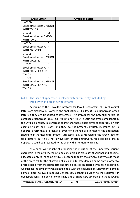| <b>Greek Letter</b>               | <b>Armenian Letter</b> |  |
|-----------------------------------|------------------------|--|
| ύ<br>$U+03CD$                     |                        |  |
| <b>Greek small letter UPSILON</b> |                        |  |
| <b>WITH TONOS</b>                 |                        |  |
| ώ<br>$U+03CE$                     |                        |  |
| Greek small letter OMEGA          |                        |  |
| <b>WITH TONOS</b>                 |                        |  |
| $U+03CA$                          |                        |  |
| Greek small letter IOTA           |                        |  |
| <b>WITH DIALYTIKA</b>             |                        |  |
| ü<br>$U+03CB$                     |                        |  |
| <b>Greek small letter UPSILON</b> |                        |  |
| <b>WITH DIALYTIKA</b>             |                        |  |
| Ť<br>$U + 0390$                   |                        |  |
| Greek small letter IOTA           |                        |  |
| WITH DIALYTIKA AND                |                        |  |
| <b>TONOS</b>                      |                        |  |
| ΰ<br>$U+03B0$                     |                        |  |
| <b>Greek small letter UPSILON</b> |                        |  |
| WITH DIALYTIKA AND                |                        |  |
| <b>TONOS</b>                      |                        |  |

#### <span id="page-20-0"></span>6.2.4 The issue of uppercase Greek characters, similarity included by transitivity and cross-script variants

According to the IDNA2008 protocol for PVALID characters, all Greek capital letters are disallowed. However, the applications still allow URLs in uppercase Greek letters if they are translated to lowercase. This introduces the potential hazard of confusable uppercase labels, e.g. "NIKE" and "ΝΙΚΕ" in Latin and even some labels in the Cyrillic alphabet. In lowercase characters, these labels differ considerably (in our example "nike" and "νικε") and they do not present confusability issues but in uppercase form they are identical, even for a trained eye. In theory, the application should help the user differentiate such cases (e.g. by translating the Greek label to small letters) but this is not always easy or straightforward, for example a link in uppercase could be presented to the user with intention to mislead.

As a panel we thought of proposing the inclusion of the uppercase variant characters in the XML method, to be considered as cross-script variants and become allocatable only to the same entity. On second thought though, this entity would most of the times ask for the allocation of such an alternate domain name only in order to protect itself from malicious acts and since a cost is associated with each allocation, we suggest the Similarity Panel should deal with the exclusion of such variant domain names (block) to avoid imposing unnecessary economic burden to the registrant. If two labels consisting only of confusingly similar characters according to the following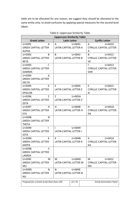table are to be allocated for any reason, we suggest they should be allocated to the same entity only, to avoid confusion by applying special measures for the second level labels.

|                                             | <b>Uppercase Similarity Table</b> |                                            |  |  |  |
|---------------------------------------------|-----------------------------------|--------------------------------------------|--|--|--|
| <b>Greek Letter</b>                         | <b>Latin Letter</b>               | <b>Cyrillic Letter</b>                     |  |  |  |
| $U + 0391$<br>A                             | A<br>$U + 0041$                   | $U + 0410$<br>A                            |  |  |  |
| <b>GREEK CAPITAL LETTER</b>                 | LATIN CAPITAL LETTER A            | <b>CYRILLIC CAPITAL LETTER</b>             |  |  |  |
| <b>ALPHA</b>                                |                                   | A                                          |  |  |  |
| $U + 0392$<br>B                             | $U + 0042$<br>B                   | $U + 0412$<br>B                            |  |  |  |
| <b>GREEK CAPITAL LETTER</b>                 | LATIN CAPITAL LETTER B            | <b>CYRILLIC CAPITAL LETTER</b>             |  |  |  |
| <b>BETA</b>                                 |                                   | <b>VE</b>                                  |  |  |  |
| $U + 0393$<br>г                             |                                   | $U + 0413$<br>L.                           |  |  |  |
| <b>GREEK CAPITAL LETTER</b>                 |                                   | <b>CYRILLIC CAPITAL LETTER</b>             |  |  |  |
| <b>GAMMA</b>                                |                                   | <b>GHE</b>                                 |  |  |  |
| U+0394<br>Δ                                 |                                   |                                            |  |  |  |
| <b>GREEK CAPITAL LETTER</b>                 |                                   |                                            |  |  |  |
| <b>DELTA</b>                                |                                   |                                            |  |  |  |
| U+0395<br>E                                 | $U + 0045$<br>E                   | E<br>$U + 0415$                            |  |  |  |
| <b>GREEK CAPITAL LETTER</b>                 | <b>LATIN CAPITAL LETTER E</b>     | <b>CYRILLIC CAPITAL LETTER</b>             |  |  |  |
| <b>EPSILON</b>                              |                                   | IE                                         |  |  |  |
| U+0396<br>Z                                 | U+005A<br>Z                       |                                            |  |  |  |
| <b>GREEK CAPITAL LETTER</b>                 | LATIN CAPITAL LETTER Z            |                                            |  |  |  |
| <b>ZETA</b>                                 |                                   |                                            |  |  |  |
| н<br>U+0397                                 | H<br>$U + 0048$                   | H<br>$U+041D$                              |  |  |  |
| <b>GREEK CAPITAL LETTER</b>                 | LATIN CAPITAL LETTER H            | <b>CYRILLIC CAPITAL LETTER</b>             |  |  |  |
| <b>ETA</b>                                  |                                   | EN                                         |  |  |  |
| U+0398<br>Θ                                 |                                   |                                            |  |  |  |
| <b>GREEK CAPITAL LETTER</b>                 |                                   |                                            |  |  |  |
| <b>THETA</b>                                |                                   |                                            |  |  |  |
| U+0399<br>T                                 | $U + 0049$<br>$\mathbf{I}$        |                                            |  |  |  |
| <b>GREEK CAPITAL LETTER</b>                 | <b>LATIN CAPITAL LETTER I</b>     |                                            |  |  |  |
| <b>IOTA</b>                                 | K<br>$U+004B$                     | K                                          |  |  |  |
| U+039A<br>К                                 |                                   | $U+041A$<br><b>CYRILLIC CAPITAL LETTER</b> |  |  |  |
| <b>GREEK CAPITAL LETTER</b><br><b>KAPPA</b> | LATIN CAPITAL LETTER K            | KA                                         |  |  |  |
| U+039B<br>Λ                                 |                                   |                                            |  |  |  |
| <b>GREEK CAPITAL LETTER</b>                 |                                   |                                            |  |  |  |
| LAMDA                                       |                                   |                                            |  |  |  |
| U+039C<br>M                                 | M<br>U+004D                       | M<br>$U+041C$                              |  |  |  |
| <b>GREEK CAPITAL LETTER</b>                 | LATIN CAPITAL LETTER M            | <b>CYRILLIC CAPITAL LETTER</b>             |  |  |  |
| MU                                          |                                   | EM                                         |  |  |  |
| U+039D<br>N                                 | N,<br>U+004E                      |                                            |  |  |  |
| <b>GREEK CAPITAL LETTER</b>                 | LATIN CAPITAL LETTER N            |                                            |  |  |  |
| NU                                          |                                   |                                            |  |  |  |
|                                             |                                   |                                            |  |  |  |

#### Table 6: Uppercase Similarity Table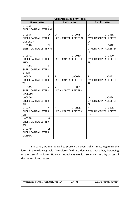| <b>Uppercase Similarity Table</b>             |                                               |                                                |  |  |
|-----------------------------------------------|-----------------------------------------------|------------------------------------------------|--|--|
| <b>Greek Letter</b>                           | <b>Latin Letter</b><br><b>Cyrillic Letter</b> |                                                |  |  |
| Ξ<br>U+039E                                   |                                               |                                                |  |  |
| <b>GREEK CAPITAL LETTER XI</b>                |                                               |                                                |  |  |
| U+039F<br>O                                   | U+004F<br>0                                   | $U+041E$<br>O                                  |  |  |
| <b>GREEK CAPITAL LETTER</b><br><b>OMICRON</b> | LATIN CAPITAL LETTER O                        | <b>CYRILLIC CAPITAL LETTER</b><br>$\mathsf{O}$ |  |  |
| U+03A0<br>п                                   |                                               | $\mathsf{\Pi}$<br>$U+041F$                     |  |  |
| <b>GREEK CAPITAL LETTER PI</b>                |                                               | <b>CYRILLIC CAPITAL LETTER</b><br><b>PE</b>    |  |  |
| U+03A1<br>P                                   | P <sub>1</sub><br>$U + 0050$                  | P.<br>$U + 0420$                               |  |  |
| <b>GREEK CAPITAL LETTER</b><br><b>RHO</b>     | LATIN CAPITAL LETTER P                        | <b>CYRILLIC CAPITAL LETTER</b><br>ER           |  |  |
| $U+03A3$<br>Σ                                 |                                               |                                                |  |  |
| <b>GREEK CAPITAL LETTER</b>                   |                                               |                                                |  |  |
| <b>SIGMA</b>                                  |                                               |                                                |  |  |
| $U+03A4$<br>т                                 | T.<br>$U + 0054$                              | $U + 0422$<br>T.                               |  |  |
| <b>GREEK CAPITAL LETTER</b>                   | <b>LATIN CAPITAL LETTER T</b>                 | <b>CYRILLIC CAPITAL LETTER</b>                 |  |  |
| <b>TAU</b>                                    |                                               | <b>TE</b>                                      |  |  |
| $U+03A5$<br>Y                                 | Y<br>$U + 0059$                               |                                                |  |  |
| <b>GREEK CAPITAL LETTER</b><br><b>UPSILON</b> | <b>LATIN CAPITAL LETTER Y</b>                 |                                                |  |  |
| Φ<br>U+03A6                                   |                                               | Ф<br>$U + 0424$                                |  |  |
| <b>GREEK CAPITAL LETTER</b>                   |                                               | <b>CYRILLIC CAPITAL LETTER</b>                 |  |  |
| PHI                                           |                                               | EF                                             |  |  |
| U+03A7<br>x                                   | X.<br>$U + 0058$                              | $\mathsf{X}$<br>$U + 0425$                     |  |  |
| <b>GREEK CAPITAL LETTER</b>                   | <b>LATIN CAPITAL LETTER X</b>                 | <b>CYRILLIC CAPITAL LETTER</b>                 |  |  |
| <b>CHI</b>                                    |                                               | HA                                             |  |  |
| Ψ<br>U+03A8                                   |                                               |                                                |  |  |
| <b>GREEK CAPITAL LETTER</b>                   |                                               |                                                |  |  |
| PSI                                           |                                               |                                                |  |  |
| U+03A9<br>Ω<br><b>GREEK CAPITAL LETTER</b>    |                                               |                                                |  |  |
| <b>OMEGA</b>                                  |                                               |                                                |  |  |
|                                               |                                               |                                                |  |  |

As a panel, we feel obliged to present an even trickier issue, regarding the letters in the following table. The colored fields are identical to each other, depending on the case of the letter. However, transitivity would also imply similarity across all the same-colored letters: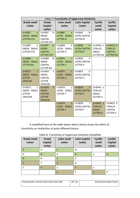| Table 7: Transitivity of Uppercase Similarity |                   |                              |                            |                  |                  |
|-----------------------------------------------|-------------------|------------------------------|----------------------------|------------------|------------------|
| <b>Greek small</b>                            | <b>Greek</b>      | <b>Latin small</b>           | <b>Latin Capital</b>       | <b>Cyrillic</b>  | <b>Cyrillic</b>  |
| Letter                                        | <b>Capital</b>    | <b>Letter</b>                | <b>Letter</b>              | small            | Capital          |
|                                               | <b>Letter</b>     |                              |                            | <b>Letter</b>    | Letter           |
| U+03B7<br>n                                   | U+0397<br>H.      | U+006E<br>n.                 | U+004E<br>N                |                  |                  |
| <b>GREEK SMALL</b>                            | <b>GREEK</b>      | <b>LATIN</b><br><b>SMALL</b> | <b>LATIN CAPITAL</b>       |                  |                  |
| <b>LETTER ETA</b>                             | <b>CAPITAL</b>    | <b>LETTER N</b>              | <b>LETTER N</b>            |                  |                  |
|                                               | <b>LETTER ETA</b> |                              |                            |                  |                  |
| U+03B7<br>n                                   | U+0397<br>H       | U+0068<br>h.                 | $U + 0048$<br>н            | U+043D H         | U+041D H         |
| <b>GREEK SMALL</b>                            | <b>GREEK</b>      | LATIN SMALL                  | <b>LATIN CAPITAL</b>       | <b>CYRILLIC</b>  | <b>CYRILLIC</b>  |
| <b>LETTER ETA</b>                             | <b>CAPITAL</b>    | <b>LETTER H</b>              | <b>LETTER H</b>            | <b>SMALL</b>     | <b>CAPITAL</b>   |
|                                               | <b>LETTER ETA</b> |                              |                            | <b>LETTER EN</b> | <b>LETTER EN</b> |
| U+03BD<br>$\mathbf{v}$                        | U+039D<br>N.      | $U + 0076$<br>$\mathbf{V}$   | $U + 0056$<br>$\vee$       |                  |                  |
| <b>GREEK SMALL</b>                            | <b>GREEK</b>      | LATIN SMALL                  | <b>LATIN CAPITAL</b>       |                  |                  |
| <b>LETTER NU</b>                              | <b>CAPITAL</b>    | <b>LETTER V</b>              | <b>LETTER V</b>            |                  |                  |
|                                               | <b>LETTER NU</b>  |                              |                            |                  |                  |
| U+03C5<br>$\mathbf{U}$                        | U+03A5<br>Y       | $U + 0075$<br>$\mathbf{u}$   | $U + 0055$<br>$\mathbf{U}$ |                  |                  |
| <b>GREEK SMALL</b>                            | <b>GREEK</b>      | <b>SMALL</b><br><b>LATIN</b> | <b>LATIN CAPITAL</b>       |                  |                  |
| <b>LETTER</b>                                 | <b>CAPITAL</b>    | <b>LETTER U</b>              | LETTER U                   |                  |                  |
| <b>UPSILON</b>                                | <b>LETTER</b>     |                              |                            |                  |                  |
|                                               | <b>UPSILON</b>    |                              |                            |                  |                  |
| U+03C5<br>U                                   | Y<br>U+03A5       | U+0079<br>y                  | $U + 0059$<br>Y            | U+0443 y         |                  |
| <b>GREEK SMALL</b>                            | <b>GREEK</b>      | LATIN<br>SMALL               | <b>LATIN CAPITAL</b>       | <b>CYRILLIC</b>  |                  |
| <b>LETTER</b>                                 | <b>CAPITAL</b>    | <b>LETTERY</b>               | <b>LETTERY</b>             | <b>SMALL</b>     |                  |
| <b>UPSILON</b>                                | <b>LETTER</b>     |                              |                            | LETTER U         |                  |
|                                               | <b>UPSILON</b>    |                              |                            |                  |                  |
|                                               |                   | U+0079<br>$\mathsf{V}$       | $U + 0059$<br>Y            | U+0443 v         | U+0423 Y         |
|                                               |                   | SMALL<br><b>LATIN</b>        | <b>LATIN CAPITAL</b>       | <b>CYRILLIC</b>  | <b>CYRILLIC</b>  |
|                                               |                   | <b>LETTERY</b>               | <b>LETTERY</b>             | <b>SMALL</b>     | <b>CAPITAL</b>   |
|                                               |                   |                              |                            | <b>LETTER U</b>  | LETTER U         |
|                                               |                   |                              |                            |                  |                  |

A simplified form of the table above which clearly shows the effect of transitivity on similarities of quite different letters:

| <b>Greek small</b><br>Letter | <b>Greek</b><br><b>Capital</b><br>Letter | <b>Latin small</b><br>Letter | <b>Latin Capital</b><br>Letter | <b>Cyrillic</b><br>small<br><b>Letter</b> | <b>Cyrillic</b><br>Capital<br>Letter |
|------------------------------|------------------------------------------|------------------------------|--------------------------------|-------------------------------------------|--------------------------------------|
| H                            | н                                        | n                            | N                              |                                           |                                      |
| H                            | н                                        | h                            | H                              | н                                         | н                                    |
| N                            | N                                        | $\mathsf{v}$                 | v                              |                                           |                                      |
| <b>v</b>                     | v                                        | u                            | U                              |                                           |                                      |
| $\checkmark$                 | v                                        | v                            | Y                              | v                                         |                                      |
|                              |                                          | v                            | ν                              | $\mathbf{v}$                              | У                                    |

#### Table 8: Transitivity of Uppercase Similarity Simplified

| Proposal for a Greek Script Root Zone LGR | 24/41 | <b>Greek Generation Panel</b> |
|-------------------------------------------|-------|-------------------------------|
|                                           |       |                               |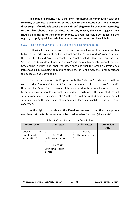**This type of similarity has to be taken into account in combination with the similarity of uppercase characters before allowing the allocation of a label in these three scripts. If two labels consisting only of confusingly similar characters according to the tables above are to be allocated for any reason, the Panel suggests they should be allocated to the same entity only, to avoid confusion by requesting the registry to apply special anti-similarity measures for the second level labels.**

#### <span id="page-24-0"></span>6.2.5 Cross-script variants – conclusions and recommendations

Following the analysis shown in previous paragraphs regarding the relationship between the code points of the Greek script and the "corresponding" code-points of the Latin, Cyrillic and Armenian scripts, the Panel concludes that there are cases of "identical" code points and cases of "similar" code points. Taking into account that the Greek script is much older than the other ones and that the Greek civilization has influenced all surrounding populations since the ancient times, the Panel considers this as logical and unavoidable.

For the purpose of this Proposal, only the "identical" code points will be considered as *"cross-script variants"* and recommended to be marked as "blocked". However, the "similar" code points will be presented in the Appendix in order to be taken into account should any confusability issues might arise. It is expected that all scripts' code points – including Latin ASCII ones – will be treated equally and that all scripts will enjoy the same level of protection as far as confusability issues are to be concerned.

In the light of the above, **the Panel recommends that the code points mentioned at the table below should be considered as** *"cross-script variants"*.

| <b>Greek Letter</b> | <b>Latin Letter</b>  | <b>Cyrillic Letter</b> | Armenian |
|---------------------|----------------------|------------------------|----------|
|                     |                      |                        | Letter   |
| $U+03B1$<br>α       | a                    | $U + 0430$<br>a        |          |
| Greek small         | $U + 0061$           | Cyrillic small letter  |          |
| letter ALPHA        | LATIN small letter A | А                      |          |
|                     | a                    |                        |          |
|                     | $U + 0251*$          |                        |          |
|                     | Latin small letter   |                        |          |
|                     | <b>ALPHA</b>         |                        |          |

| Table 9: Cross-Script Variant Code Points |  |
|-------------------------------------------|--|
|-------------------------------------------|--|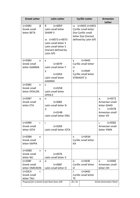| <b>Greek Letter</b>                                   | <b>Latin Letter</b>                                                                                                                                                      |                | <b>Cyrillic Letter</b>                                                                                                | Armenian<br><b>Letter</b>                                                                          |
|-------------------------------------------------------|--------------------------------------------------------------------------------------------------------------------------------------------------------------------------|----------------|-----------------------------------------------------------------------------------------------------------------------|----------------------------------------------------------------------------------------------------|
| β<br>$U+03B2$<br>Greek small<br>letter BETA           | $\mathbf{B}$<br>$U+00DF$<br>Latin small letter<br><b>SHARP S</b><br>ss U+0073 U+0073<br>Latin small letter S<br>Latin small letter S<br>(Variant defined by<br>Latin GP) |                | ss U+0455 U+0455<br><b>Cyrillic small letter</b><br>Dze Cyrillic small<br>letter Dze (Variant<br>defined by Latin GP) |                                                                                                    |
| U+03B3<br>ν<br>Greek small<br>letter GAMMA            | y<br>$U + 0079$<br>Latin small letter Y<br>γ<br>$U + 0263$<br>Latin small letter<br><b>GAMMA</b>                                                                         | v<br>U<br>Y    | $U + 0443$<br>Cyrillic small letter<br>$U+04AF$<br>Cyrillic small letter<br><b>STRAIGHT U</b>                         |                                                                                                    |
| U+03B5<br>ε<br>Greek small<br>letter EPSILON          | ε<br>$U+025B$<br>Latin small letter<br><b>OPENE</b>                                                                                                                      |                |                                                                                                                       |                                                                                                    |
| U+03B7<br>n<br>Greek small<br>letter ETA              | n<br>U+006E<br>Latin small letter N<br>ŋ<br>$U+014B$<br>Latin small letter ENG                                                                                           |                |                                                                                                                       | $U + 0572$<br>n<br>Armenian small<br>letter GHAD<br>$U + 0578$<br>n<br>Armenian small<br>letter VO |
| U+03B9<br>$\mathsf{L}$<br>Greek small<br>letter IOTA  | ι<br>U+0269<br>Latin small letter IOTA                                                                                                                                   |                |                                                                                                                       | $U + 0582$<br>L<br>Armenian small<br>letter YIWN                                                   |
| $U+03BA$<br>к<br>Greek small<br>letter KAPPA          |                                                                                                                                                                          | к<br>KA        | U+043A<br>Cyrillic small letter                                                                                       |                                                                                                    |
| $U+03BD$<br>ν<br>Greek small<br>letter NU             | v<br>$U + 0076$<br>Latin small letter V                                                                                                                                  |                |                                                                                                                       |                                                                                                    |
| $U+O3BF$<br>$\Omega$<br>Greek small<br>letter OMICRON | O<br>U+006F<br>Latin small letter O                                                                                                                                      | O<br>O         | U+043E<br>Cyrillic small letter                                                                                       | $U + 0585$<br>O<br>Armenian small<br>letter OH                                                     |
| $U+03C4$<br>τ<br>Greek small<br>letter TAU            |                                                                                                                                                                          | T<br><b>TE</b> | $U + 0442$<br>Cyrillic small letter                                                                                   |                                                                                                    |
| Proposal for a Greek Script Root Zone LGR             |                                                                                                                                                                          | 26/41          |                                                                                                                       | <b>Greek Generation Panel</b>                                                                      |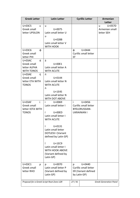| <b>Greek Letter</b>                                               | <b>Latin Letter</b>                                                                                                                                                                                                                                                                                  |         | <b>Cyrillic Letter</b>                                                            | <b>Armenian</b><br><b>Letter</b>                       |
|-------------------------------------------------------------------|------------------------------------------------------------------------------------------------------------------------------------------------------------------------------------------------------------------------------------------------------------------------------------------------------|---------|-----------------------------------------------------------------------------------|--------------------------------------------------------|
| U+03C5<br>U<br>Greek small<br>letter UPSILON                      | $\mathsf{u}$<br>$U + 0075$<br>Latin small letter U<br>υ<br>U+028B<br>Latin small letter V<br><b>WITH HOOK</b>                                                                                                                                                                                        |         |                                                                                   | U+057D<br>$\mathsf{u}$<br>Armenian small<br>letter SEH |
| U+03C6<br>ф<br>Greek small<br>letter PHI                          |                                                                                                                                                                                                                                                                                                      | ф<br>EF | $U + 0444$<br>Cyrillic small letter                                               |                                                        |
| ά<br>$U+03AC$<br>Greek small<br>letter ALPHA<br><b>WITH TONOS</b> | á<br>$U+00E1$<br>Latin small letter A<br><b>WITH ACUTE</b>                                                                                                                                                                                                                                           |         |                                                                                   |                                                        |
| ή<br>$U+03AE$<br>Greek small<br>letter ETA WITH<br><b>TONOS</b>   | ń<br>$U + 0144$<br>Latin small letter N<br><b>WITH ACUTE</b><br>'n<br>$U+1E45$<br>Latin small letter N<br><b>WITH DOT ABOVE</b>                                                                                                                                                                      |         |                                                                                   |                                                        |
| ί<br>$U+03AF$<br>Greek small<br>letter IOTA WITH<br><b>TONOS</b>  | j.<br>$U + 0069$<br>Latin small letter I<br>í<br>$U+00ED$<br>Latin small letter I<br><b>WITH ACUTE</b><br>$U + 0131$<br>L<br>Latin small letter<br>DOTLESS I (Variant<br>defined by Latin GP)<br>ì<br>$U+1EC9$<br>Latin small letter I<br><b>WITH HOOK ABOVE</b><br>(Variant defined by<br>Latin GP) | i.      | $U + 0456$<br>Cyrillic small letter<br><b>BYELORUSSIAN-</b><br><b>UKRAINIAN I</b> |                                                        |
| U+03C1<br>ρ<br>Greek small<br>letter RHO                          | $U + 0070$<br>p<br>Latin small letter P<br>(Variant defined by<br>Latin GP)                                                                                                                                                                                                                          | р       | $U + 0440$<br>Cyrillic small letter<br>ER (Variant defined<br>by Latin GP)        |                                                        |
| Proposal for a Greek Script Root Zone LGR                         |                                                                                                                                                                                                                                                                                                      | 27/41   |                                                                                   | <b>Greek Generation Panel</b>                          |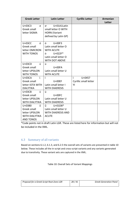| <b>Greek Letter</b>   | <b>Latin Letter</b>       | <b>Cyrillic Letter</b> | <b>Armenian</b><br>Letter |
|-----------------------|---------------------------|------------------------|---------------------------|
| $U+03C3$<br>$\sigma$  | U+01A1Latin<br>$\alpha$   |                        |                           |
| Greek small           | small letter O WITH       |                        |                           |
| letter SIGMA          | <b>HORN</b> (Variant      |                        |                           |
|                       | defined by Latin GP)      |                        |                           |
|                       |                           |                        |                           |
| ó<br><b>U+03CC</b>    | ó<br>$U+00F3$             |                        |                           |
| Greek small           | Latin small letter O      |                        |                           |
| letter OMICRON        | <b>WITH ACUTE</b>         |                        |                           |
| <b>WITH TONOS</b>     | $U + 022F*$<br>Ò.         |                        |                           |
|                       | Latin small letter O      |                        |                           |
|                       | WITH DOT ABOVE            |                        |                           |
| ú<br>$U+03CD$         | ú                         |                        |                           |
| Greek small           | $U+00FA$                  |                        |                           |
| letter UPSILON        | Latin small letter U      |                        |                           |
| <b>WITH TONOS</b>     | <b>WITH ACUTE</b>         |                        |                           |
| ï<br>$U+03CA$         | ï                         | ï.<br>$U + 0457$       |                           |
| Greek small           | $U+00EF$                  | Cyrillic small letter  |                           |
| letter IOTA WITH      | Latin small letter I      | YI                     |                           |
| <b>DIALYTIKA</b>      | <b>WITH DIAERESIS</b>     |                        |                           |
| ü<br>$U+03CB$         | ü                         |                        |                           |
| Greek small           | $U+00FC$                  |                        |                           |
| letter UPSILON        | Latin small letter U      |                        |                           |
| <b>WITH DIALYTIKA</b> | <b>WITH DIAERESIS</b>     |                        |                           |
| ΰ<br>$U+03B0$         | ű.<br>$U+01D8*$           |                        |                           |
| Greek small           | Latin small letter U      |                        |                           |
| letter UPSILON        | <b>WITH DIAERESIS AND</b> |                        |                           |
| <b>WITH DIALYTIKA</b> | <b>ACUTE</b>              |                        |                           |
| <b>AND TONOS</b>      |                           |                        |                           |

\*Code points not in draft Latin LGR. These are listed here for information but will not be included in the XML.

#### <span id="page-27-0"></span>6.3 Summary of all variants

Based on sections 6.1.2, 6.1.3, and 6.2.5 the overall sets of variants are presented in table 10 below. These includes all the in-script and cross-script variants and any variants generated due to transitivity. These variant sets are captured in the XML.

Table 10: Overall Sets of Variant Mappings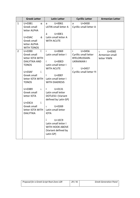|                | <b>Greek Letter</b>                                                                                                                                                                                                                                                                                           | <b>Latin Letter</b>                                                                                                                                                                                                                                                                                                                                                                                                                  | <b>Cyrillic Letter</b>                                                                                                          | <b>Armenian Letter</b>                                      |
|----------------|---------------------------------------------------------------------------------------------------------------------------------------------------------------------------------------------------------------------------------------------------------------------------------------------------------------|--------------------------------------------------------------------------------------------------------------------------------------------------------------------------------------------------------------------------------------------------------------------------------------------------------------------------------------------------------------------------------------------------------------------------------------|---------------------------------------------------------------------------------------------------------------------------------|-------------------------------------------------------------|
| $\mathbf{1}$   | U+03B1<br>α<br>Greek small<br>letter ALPHA                                                                                                                                                                                                                                                                    | $U + 0061$<br>a<br>LATIN small letter A<br>U+00E1<br>á                                                                                                                                                                                                                                                                                                                                                                               | $U + 0430$<br>a<br>Cyrillic small letter A                                                                                      |                                                             |
|                | ά<br>$U+03AC$<br>Greek small<br>letter ALPHA<br><b>WITH TONOS</b>                                                                                                                                                                                                                                             | Latin small letter A<br><b>WITH ACUTE</b>                                                                                                                                                                                                                                                                                                                                                                                            |                                                                                                                                 |                                                             |
| $\overline{2}$ | Ť<br>U+0390<br>Greek small<br>letter IOTA WITH<br><b>DIALYTIKA AND</b><br><b>TONOS</b><br>$\mathfrak{t}$<br>$U+03AF$<br>Greek small<br>letter IOTA WITH<br><b>TONOS</b><br>U+03B9<br>$\mathsf{L}$<br>Greek small<br>letter IOTA<br><b>U+03CA</b><br>ï.<br>Greek small<br>letter IOTA WITH<br><b>DIALYTIKA</b> | i.<br>$U + 0069$<br>Latin small letter I<br>$U+00ED$<br>Ĺ<br>Latin small letter I<br><b>WITH ACUTE</b><br>$U+O0EF$<br>ï.<br>Latin small letter I<br><b>WITH DIAERESIS</b><br>$U + 0131$<br>L<br>Latin small letter<br>DOTLESS I (Variant<br>defined by Latin GP)<br>$U + 0269$<br>$\mathbf{L}$<br>Latin small letter<br><b>IOTA</b><br>Î.<br>$U+1EC9$<br>Latin small letter I<br>WITH HOOK ABOVE<br>(Variant defined by<br>Latin GP) | i.<br>$U + 0456$<br>Cyrillic small letter<br>BYELORUSSIAN-<br><b>UKRAINIAN I</b><br>$U + 0457$<br>ï<br>Cyrillic small letter YI | $U + 0582$<br>$\mathbf{L}$<br>Armenian small<br>letter YIWN |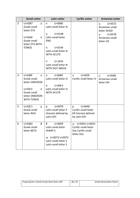|                | <b>Greek Letter</b>                                                                                                                   | <b>Latin Letter</b>                                                                                                                                           | <b>Cyrillic Letter</b>                                                            | <b>Armenian Letter</b>                                                             |
|----------------|---------------------------------------------------------------------------------------------------------------------------------------|---------------------------------------------------------------------------------------------------------------------------------------------------------------|-----------------------------------------------------------------------------------|------------------------------------------------------------------------------------|
| 3              | U+03B7<br>$\eta$<br>Greek small<br>letter ETA                                                                                         | U+006E<br>n<br>Latin small letter N<br>U+014B<br>ŋ                                                                                                            |                                                                                   | $U + 0572$<br>$\eta$<br>Armenian small<br>letter GHAD<br>$U + 0578$<br>$\mathbf n$ |
|                | ή<br>$U+03AE$<br>Greek small<br>letter ETA WITH<br><b>TONOS</b>                                                                       | Latin small letter<br><b>ENG</b><br>$U + 0144$<br>ń<br>Latin small letter N<br><b>WITH ACUTE</b><br>$U+1E45$<br>'n.<br>Latin small letter N<br>WITH DOT ABOVE |                                                                                   | Armenian small<br>letter VO                                                        |
| $\overline{4}$ | $U+03BF$<br>$\mathsf{o}$<br>Greek small<br>letter OMICRON<br>ó<br><b>U+03CC</b><br>Greek small<br>letter OMICRON<br><b>WITH TONOS</b> | U+006F<br>$\Omega$<br>Latin small letter O<br>$U+00F3$<br>ó<br>Latin small letter O<br><b>WITH ACUTE</b>                                                      | U+043E<br>$\mathsf{o}$<br>Cyrillic small letter O                                 | $U + 0585$<br>$\mathbf{O}$<br>Armenian small<br>letter OH                          |
| 5              | U+03C1<br>ρ<br>Greek small<br>letter RHO                                                                                              | U+0070<br>p<br>Latin small letter P<br>(Variant defined by<br>Latin GP)                                                                                       | $U + 0440$<br>p<br>Cyrillic small letter<br>ER (Variant defined<br>by Latin GP)   |                                                                                    |
| 6              | β<br>$U+03B2$<br>Greek small<br>letter BETA                                                                                           | $U+OODF$<br>ß<br>Latin small letter<br><b>SHARP S</b><br>ss U+0073 U+0073<br>Latin small letter S<br>Latin small letter S                                     | U+0455 U+0455<br>SS.<br>Cyrillic small letter<br>Dze Cyrillic small<br>letter Dze |                                                                                    |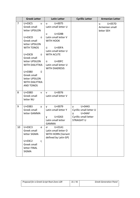|                | <b>Greek Letter</b>                                                        | <b>Latin Letter</b>                                                                                 | <b>Cyrillic Letter</b>                                                                                           | <b>Armenian Letter</b>                      |
|----------------|----------------------------------------------------------------------------|-----------------------------------------------------------------------------------------------------|------------------------------------------------------------------------------------------------------------------|---------------------------------------------|
| $\overline{7}$ | U+03C5<br>U<br>Greek small<br>letter UPSILON                               | U+0075<br>u<br>Latin small letter U<br>U+028B                                                       |                                                                                                                  | U+057D<br>u<br>Armenian small<br>letter SEH |
|                | Ú<br>$U+03CD$<br>Greek small<br>letter UPSILON<br><b>WITH TONOS</b>        | υ<br>Latin small letter V<br><b>WITH HOOK</b><br>$U+00FA$<br>ú                                      |                                                                                                                  |                                             |
|                | $U+O3CB$<br>Ü<br>Greek small<br>letter UPSILON                             | Latin small letter U<br><b>WITH ACUTE</b><br>$U+00FC$<br>ü                                          |                                                                                                                  |                                             |
|                | <b>WITH DIALYTIKA</b><br>ΰ<br>U+03B0                                       | Latin small letter U<br>WITH DIAERESIS                                                              |                                                                                                                  |                                             |
|                | Greek small<br>letter UPSILON<br><b>WITH DIALYTIKA</b><br><b>AND TONOS</b> |                                                                                                     |                                                                                                                  |                                             |
| 8              | $U+03BD$<br>V<br>Greek small<br>letter NU                                  | $U + 0076$<br>$\mathsf{v}$<br>Latin small letter V                                                  |                                                                                                                  |                                             |
| 9              | U+03B3<br>γ<br>Greek small<br>letter GAMMA                                 | U+0079<br><b>y</b><br>Latin small letter Y<br>$U + 0263$<br>γ<br>Latin small letter<br><b>GAMMA</b> | $U + 0443$<br><b>y</b><br>Cyrillic small letter U<br>Y<br>$U+04AF$<br>Cyrillic small letter<br><b>STRAIGHT U</b> |                                             |
| 10             | U+03C3<br>$\sigma$<br>Greek small<br>letter SIGMA                          | U+01A1<br>ď<br>Latin small letter O<br>WITH HORN (Variant<br>defined by Latin GP)                   |                                                                                                                  |                                             |
|                | $U+03C2$<br>$\varsigma$<br>Greek small<br>letter FINAL<br><b>SIGMA</b>     |                                                                                                     |                                                                                                                  |                                             |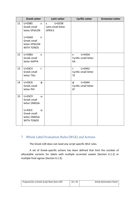|    | <b>Greek Letter</b>                                                                                                                       | <b>Latin Letter</b>                                        | <b>Cyrillic Letter</b>                                           | <b>Armenian Letter</b> |
|----|-------------------------------------------------------------------------------------------------------------------------------------------|------------------------------------------------------------|------------------------------------------------------------------|------------------------|
| 11 | U+03B5<br>$\boldsymbol{\epsilon}$<br>Greek small<br>letter EPSILON<br>$U+03AD$<br>έ<br>Greek small<br>letter EPSILON<br><b>WITH TONOS</b> | U+025B<br>$\epsilon$<br>Latin small letter<br><b>OPENE</b> |                                                                  |                        |
| 12 | U+03BA<br>K<br>Greek small<br>letter KAPPA                                                                                                |                                                            | U+043A<br>К<br>Cyrillic small letter<br>KA                       |                        |
| 13 | U+03C4<br>$\mathbf{T}$<br>Greek small<br>letter TAU                                                                                       |                                                            | $U + 0442$<br>$\mathsf{T}$<br>Cyrillic small letter<br><b>TE</b> |                        |
| 14 | U+03C6<br>$\Phi$<br>Greek small<br>letter PHI                                                                                             |                                                            | U+0444<br>$\Phi$<br>Cyrillic small letter<br>EF                  |                        |
| 15 | U+03C9<br>$\omega$<br>Greek small<br>letter OMEGA                                                                                         |                                                            |                                                                  |                        |
|    | ώ<br>U+03CE<br>Greek small<br>letter OMEGA<br><b>WITH TONOS</b>                                                                           |                                                            |                                                                  |                        |

## <span id="page-31-0"></span>7 Whole Label Evaluation Rules (WLE) and Actions

The Greek LGR does not need any script specific WLE rules.

A set of Greek-specific actions has been defined that limit the number of allocatable variants for labels with multiple accented vowels (Section [6.1.2\)](#page-8-3) or multiple final sigmas (Section [6.1.3\)](#page-10-0).

| Proposal for a Greek Script Root Zone LGR | 32/41 | <b>Greek Generation Panel</b> |
|-------------------------------------------|-------|-------------------------------|
|                                           |       |                               |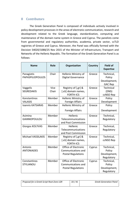## <span id="page-32-0"></span>8 Contributors

The Greek Generation Panel is composed of individuals actively involved in policy development processes in the areas of electronic communication, research and development related to the Greek language, standardization, computing and maintenance of the domain name system in Greece and Cyprus. The panelists come from governmental and regulatory authorities, academia, private sector, ccTLD registries of Greece and Cyprus. Moreover, the Panel was officially formed with the Decision 54020/1088/25 Nov 2015 of the Minister of Infrastructure, Transport and Networks of the Hellenic Republic. The formation of the Greek Generation Panel is as follows:

| <b>Name</b>                           | Role          | Organization                                                                     | Country | <b>Field of</b><br><b>Expertise</b>                |
|---------------------------------------|---------------|----------------------------------------------------------------------------------|---------|----------------------------------------------------|
| Panagiotis<br><b>PAPASPILIOPOULOS</b> | Chair         | Hellenic Ministry of<br><b>Digital Governance</b>                                | Greece  | Technical,<br>Policy<br>Development,               |
|                                       |               |                                                                                  |         | <b>GAC Rep</b>                                     |
| Vaggelis<br><b>SEGREDAKIS</b>         | Vice<br>Chair | Registry of [.gr] &<br>[. $\epsilon \lambda$ ] domain names,<br><b>FORTH-ICS</b> | Greece  | Technical<br>(DNS)<br>ccNSO Rep                    |
| Konstantinos<br><b>VALASIS</b>        | Member        | Hellenic Ministry of<br><b>Foreign Affairs</b>                                   | Greece  | Policy<br>Development                              |
| <b>Ioannis KATSARAS</b>               | Member        | Hellenic Ministry of<br><b>Foreign Affairs</b>                                   | Greece  | Policy<br>Development                              |
| Asimina<br>GIANNOPOULOU               | Member        | Hellenic<br>Telecommunications<br>and Post Commission                            | Greece  | Technical,<br>Regulatory                           |
| <b>Giorgos KOLYVAS</b>                | Member        | Hellenic<br>Telecommunications<br>and Post Commission                            | Greece  | Technical,<br>Regulatory                           |
| <b>Michael VASSILAKIS</b>             | Member        | Registry of [.gr] &<br>[. $\epsilon \lambda$ ] domain names,<br><b>FORTH-ICS</b> | Greece  | Technical,<br>ccNSO Rep                            |
| Antonis<br><b>ANTONIADES</b>          | Member        | Office of Electronic<br>Communications and<br><b>Postal Regulations</b>          | Cyprus  | Technical,<br>Policy<br>Development,<br>Regulatory |
| Constantinos<br><b>STYLIANOU</b>      | Member        | Office of Electronic<br>Communications and<br><b>Postal Regulations</b>          | Cyprus  | Technical,<br>Policy<br>Development,<br>Regulatory |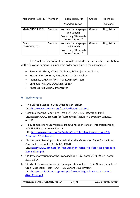| <b>Alexandros PSYRRIS</b> | Member | Hellenic Body for                                                                | Greece | Technical   |
|---------------------------|--------|----------------------------------------------------------------------------------|--------|-------------|
|                           |        | Standardization                                                                  |        | (Unicode)   |
| Maria GAVRIILIDOU         | Member | Institute for Language<br>and Speech<br>Processing / Research<br>Centre "Athena" | Greece | Linguistics |
| Penny<br>LABROPOULOU      | Member | Institute for Language<br>and Speech<br>Processing / Research<br>Centre "Athena" | Greece | Linguistics |

The Panel would also like to express its gratitude for the valuable contribution of the following persons (in alphabetic order according to their surname):

- Sarmad HUSSAIN, ICANN IDN Team, IDN Project Coordinator
- Ritvan KARA-CHOTZA, Educationist, Lexicographer
- Pitinan KOOARMORNPATANA, ICANN IDN Team
- Chrisoula MICHAILIDOU, Legal Expert
- Antonios PERPATIDIS, Interpreter

## <span id="page-33-0"></span>9 References

- 1. "The Unicode Standard", the Unicode Consortium URL: [http://www.unicode.org/standard/standard.html.](http://www.unicode.org/standard/standard.html)
- 2. "Maximal Starting Repertoire MSR-5", ICANN IDN Integration Panel URL: https://www.icann.org/en/system/files/files/msr-5-overview-24jun21 en.pdf.
- 3. "Requirements for LGR Proposals from Generation Panels", Integration Panel, ICANN IDN Variant Issues Project URL: [https://www.icann.org/en/system/files/files/Requirements-for-LGR-](https://www.icann.org/en/system/files/files/Requirements-for-LGR-Proposals-20150424.pdf)[Proposals-20150424.pdf.](https://www.icann.org/en/system/files/files/Requirements-for-LGR-Proposals-20150424.pdf)
- 4. "Procedure to Develop and Maintain the Label Generation Rules for the Root Zone in Respect of IDNA Labels", ICANN URL: [http://www.icann.org/en/resources/idn/variant-tlds/draft-lgr-procedure-](http://www.icann.org/en/resources/idn/variant-tlds/draft-lgr-procedure-20mar13-en.pdf)[20mar13-en.pdf.](http://www.icann.org/en/resources/idn/variant-tlds/draft-lgr-procedure-20mar13-en.pdf)
- 5. "IP Review of Variants for the Proposed Greek LGR dated 2019-09-01", dated 2019-12-04.
- 6. "Study of the issues present in the registration of IDN TLDs in Greek characters", Greek Case Study Team, ICANN IDN Variant Issues Project URL: [http://archive.icann.org/en/topics/new-gtlds/greek-vip-issues-report-](http://archive.icann.org/en/topics/new-gtlds/greek-vip-issues-report-07oct11-en.pdf)[07oct11-en.pdf.](http://archive.icann.org/en/topics/new-gtlds/greek-vip-issues-report-07oct11-en.pdf)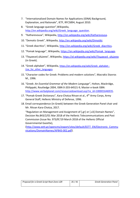- 7. "Internationalized Domain Names for Applications (IDNA) Background, Explanation, and Rationale", IETF, RFC5894, August 2010.
- 8. "Greek language question",Wikipedia, [http://en.wikipedia.org/wiki/Greek\\_language\\_question.](http://en.wikipedia.org/wiki/Greek_language_question)
- 9. "Katharevousa", Wikipedia, [http://en.wikipedia.org/wiki/Katharevousa.](http://en.wikipedia.org/wiki/Katharevousa)
- 10. "Demotic Greek", Wikipedia, [http://en.wikipedia.org/wiki/Dimotiki.](http://en.wikipedia.org/wiki/Dimotiki)
- 11. "Greek diacritics", Wikipedia, [http://en.wikipedia.org/wiki/Greek\\_diacritics.](http://en.wikipedia.org/wiki/Greek_diacritics)
- 12. "Pomak language", Wikipedia, [https://en.wikipedia.org/wiki/Pomak\\_language.](https://en.wikipedia.org/wiki/Pomak_language)
- 13. "Πομακική γλώσσα", Wikipedia, [https://el.wikipedia.org/wiki/](https://el.wikipedia.org/wiki/Πομακική_γλώσσα)Πομακική γλώσσα (in Greek).
- 14. "Greek alphabet", Wikipedia, [https://en.wikipedia.org/wiki/Greek\\_alphabet -](https://en.wikipedia.org/wiki/Greek_alphabet#Use_for_other_languages) Use for other languages.
- 15. "Character codes for Greek: Problems and modern solutions", Macrakis Stavros M., 1996.
- 16. "Greek: *An Essential Grammar of the Modern Language*", Holton, Mackridge, Philippaki, Routledge 2004, ISBN 0-203-64521-9, Master e-book ISBN: [http://www.verbalplanet.com/resourcedownload.asp?re\\_id=100001646935.](http://www.verbalplanet.com/resourcedownload.asp?re_id=100001646935)
- 17. "Pomak-Greek Dictionary", Kara-Chotza Ritvan et al., 4<sup>th</sup> Army Corps, Army General Staff, Hellenic Ministry of Defense, 1996.
- 18. Email correspondence (in Greek) between the Greek Generation Panel chair and Mr. Ritvan Kara-Chotza, 2017.

"Regulation on Management and Assignment of [.gr] or [.ελ] Domain Names", Decision No.843/2/01 Mar 2018 of the Hellenic Telecommunications and Post Commission (Issue No. 973/B'/19 March 2018 of the Hellenic Official Governmental Gazette),

[\(http://www.eett.gr/opencms/export/sites/default/EETT\\_EN/Electronic\\_Commu](http://www.eett.gr/opencms/export/sites/default/EETT_EN/Electronic_Communications/DomainNames/AP843-002.pdf) [nications/DomainNames/AP843-002.pdf\)](http://www.eett.gr/opencms/export/sites/default/EETT_EN/Electronic_Communications/DomainNames/AP843-002.pdf).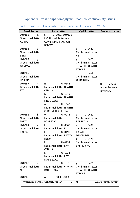## <span id="page-35-0"></span>Appendix: Cross-script homoglyphs - possible confusability issues

| <b>Greek Letter</b>                                                                 | <b>Latin Letter</b>                     | <b>Cyrillic Letter</b>     | <b>Armenian Letter</b> |  |  |
|-------------------------------------------------------------------------------------|-----------------------------------------|----------------------------|------------------------|--|--|
| U+03B1<br>α                                                                         | U+0061+U+0331<br>a                      |                            |                        |  |  |
| Greek small letter                                                                  | LATIN small letter A +                  |                            |                        |  |  |
| <b>ALPHA</b>                                                                        | <b>COMBINING MACRON</b>                 |                            |                        |  |  |
|                                                                                     | <b>BELOW</b>                            |                            |                        |  |  |
| β<br>U+03B2                                                                         |                                         | $U + 0432$<br>B            |                        |  |  |
| Greek small letter                                                                  |                                         | Cyrillic small letter      |                        |  |  |
| <b>BETA</b>                                                                         |                                         | <b>VE</b>                  |                        |  |  |
| $U+03B3$<br>ν                                                                       |                                         | $U+04B1$<br>γ              |                        |  |  |
| Greek small letter                                                                  |                                         | Cyrillic small letter      |                        |  |  |
| <b>GAMMA</b>                                                                        |                                         | <b>STRAIGHT U WITH</b>     |                        |  |  |
|                                                                                     |                                         | <b>STROKE</b>              |                        |  |  |
| U+03B5<br>£.                                                                        |                                         | $U + 0454$<br>$\epsilon$   |                        |  |  |
| Greek small letter                                                                  |                                         | Cyrillic small letter      |                        |  |  |
| <b>EPSILON</b>                                                                      |                                         | <b>UKRAINIAN IE</b>        |                        |  |  |
| U+03B7<br>η                                                                         | $U + 0146$<br>n                         |                            | $U + 0564$<br>$\eta$   |  |  |
| Greek small letter                                                                  | Latin small letter N WITH               |                            | Armenian small         |  |  |
| <b>ETA</b>                                                                          | <b>CEDILLA</b>                          |                            | letter DA              |  |  |
|                                                                                     | $U+1E49$<br>n                           |                            |                        |  |  |
|                                                                                     | Latin small letter N WITH               |                            |                        |  |  |
|                                                                                     | <b>LINE BELOW</b>                       |                            |                        |  |  |
|                                                                                     | $U+1E4B$<br>n                           |                            |                        |  |  |
|                                                                                     | Latin small letter N WITH               |                            |                        |  |  |
|                                                                                     | <b>CIRCUMFLEX BELOW</b>                 |                            |                        |  |  |
| θ<br>U+03B8                                                                         | $U + 0275$<br>$\theta$                  | $U+04E9$<br>$\Theta$       |                        |  |  |
| Greek small letter                                                                  | Latin small letter                      | Cyrillic small letter      |                        |  |  |
| <b>THETA</b>                                                                        | <b>BARRED O</b>                         | <b>BARRED O</b>            |                        |  |  |
| $U+03BA$<br>K                                                                       | k<br>$U+006B$                           | қ U+049B                   |                        |  |  |
| Greek small letter                                                                  | Latin small letter K<br>ƙ               | Cyrillic small letter      |                        |  |  |
| <b>KAPPA</b>                                                                        | $U + 0199$<br>Latin small letter K WITH | <b>KA WITH</b>             |                        |  |  |
|                                                                                     | <b>HOOK</b>                             | <b>DESCENDER</b><br>U+04A1 |                        |  |  |
|                                                                                     | $U + 0137$<br>ķ                         | к<br>Cyrillic small letter |                        |  |  |
|                                                                                     | Latin small letter K WITH               | <b>BASHKIR KA</b>          |                        |  |  |
|                                                                                     | <b>CEDILLA</b>                          |                            |                        |  |  |
|                                                                                     | $U+1E33$<br>ķ                           |                            |                        |  |  |
|                                                                                     | Latin small letter K WITH               |                            |                        |  |  |
|                                                                                     | <b>DOT BELOW</b>                        |                            |                        |  |  |
| $U+03BD$<br>$\mathbf v$                                                             | $U+1E7F$<br>V                           | $U+04B1$<br>Υ              |                        |  |  |
| Greek small letter                                                                  | Latin small letter V WITH               | Cyrillic small letter      |                        |  |  |
| <b>NU</b>                                                                           | <b>DOT BELOW</b>                        | <b>STRAIGHT U WITH</b>     |                        |  |  |
|                                                                                     |                                         | <b>STROKE</b>              |                        |  |  |
| $U+O3BF$<br>O                                                                       | U+006F+U+0331<br>Ō                      |                            |                        |  |  |
| Proposal for a Greek Script Root Zone LGR<br>36/41<br><b>Greek Generation Panel</b> |                                         |                            |                        |  |  |

#### <span id="page-35-1"></span>Cross-script similarity between code-points included in MSR-5  $A.1$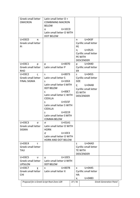| Greek small letter<br><b>OMICRON</b>                              | Latin small letter O +<br><b>COMBINING MACRON</b><br><b>BELOW</b>                                                                                                                                                                                                                                             |                                                                                                                                       |
|-------------------------------------------------------------------|---------------------------------------------------------------------------------------------------------------------------------------------------------------------------------------------------------------------------------------------------------------------------------------------------------------|---------------------------------------------------------------------------------------------------------------------------------------|
|                                                                   | $U+1ECD$<br>o<br>Latin small letter O WITH<br>DOT BELOW                                                                                                                                                                                                                                                       |                                                                                                                                       |
| U+03C0<br>π<br>Greek small letter<br>PI                           |                                                                                                                                                                                                                                                                                                               | $U+043F$<br>$\mathsf{\Pi}$<br>Cyrillic small letter<br><b>PE</b><br>п, U+0525<br>Cyrillic small letter<br>PE WITH<br><b>DESCENDER</b> |
| $U+03C1$<br>$\rho$<br>Greek small letter<br><b>RHO</b>            | $U + 0070$<br>p<br>Latin small letter P                                                                                                                                                                                                                                                                       | p U+0440<br>Cyrillic small letter<br>ER                                                                                               |
| U+03C2<br>$\varsigma$<br>Greek small letter<br><b>FINAL SIGMA</b> | S<br>$U + 0073$<br>Latin small letter S<br>$U+1E63$<br>Ş<br>Latin small letter S WITH<br><b>DOT BELOW</b><br>U+00E7<br>Ç<br>Latin small letter C WITH<br><b>CEDILLA</b><br>$U+015F$<br>Ş<br>Latin small letter S WITH<br><b>CEDILLA</b><br>$U + 0219$<br>Ş<br>Latin small letter S WITH<br><b>COMMA BELOW</b> | s U+0455<br>Cyrillic small letter<br><b>DZE</b><br>$C$ $U+04AB$<br>Cyrillic small letter<br><b>ES WITH</b><br><b>DESCENDER</b>        |
| U+03C3<br>σ<br>Greek small letter<br><b>SIGMA</b>                 | $U+01A1$<br>U<br>Latin small letter O WITH<br><b>HORN</b><br>$U+1EE3$<br>α<br>Latin small letter O WITH<br>HORN AND DOT BELOW                                                                                                                                                                                 |                                                                                                                                       |
| U+03C4<br>τ<br>Greek small letter<br>TAU                          |                                                                                                                                                                                                                                                                                                               | $U+04AD$<br>τ<br>Cyrillic small letter<br>TE WITH<br><b>DESCENDER</b>                                                                 |
| U+03C5<br>$\cup$<br>Greek small letter<br><b>UPSILON</b>          | $U+1EE5$<br>u<br>Latin small letter U WITH<br><b>DOT BELOW</b>                                                                                                                                                                                                                                                |                                                                                                                                       |
| U+03C7<br>χ<br>Greek small letter<br><b>CHI</b>                   | $U + 0078$<br>x<br>Latin small letter X                                                                                                                                                                                                                                                                       | $U + 0445$<br><b>X</b><br>Cyrillic small letter<br>HA<br>$U+04B3$<br>X,                                                               |
|                                                                   | Proposal for a Greek Script Root Zone LGR                                                                                                                                                                                                                                                                     | 37/41<br><b>Greek Generation Panel</b>                                                                                                |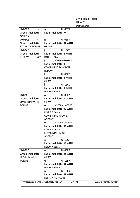|                                           |                                                                                                                                                                                                                                                                                                     |       | Cyrillic small letter |                               |  |
|-------------------------------------------|-----------------------------------------------------------------------------------------------------------------------------------------------------------------------------------------------------------------------------------------------------------------------------------------------------|-------|-----------------------|-------------------------------|--|
|                                           |                                                                                                                                                                                                                                                                                                     |       | <b>HA WITH</b>        |                               |  |
|                                           |                                                                                                                                                                                                                                                                                                     |       | <b>DESCENDER</b>      |                               |  |
| U+03C9<br>ω                               | $U + 0077$<br>W                                                                                                                                                                                                                                                                                     |       |                       |                               |  |
| Greek small letter                        | Latin small letter W                                                                                                                                                                                                                                                                                |       |                       |                               |  |
| OMEGA                                     |                                                                                                                                                                                                                                                                                                     |       |                       |                               |  |
| ή<br>$U+03AE$                             | $\dot{n}$ and $\dot{n}$ and $\dot{n}$ and $\dot{n}$ and $\dot{n}$ and $\dot{n}$ and $\dot{n}$ and $\dot{n}$ and $\dot{n}$ and $\dot{n}$ and $\dot{n}$ and $\dot{n}$ and $\dot{n}$ and $\dot{n}$ and $\dot{n}$ and $\dot{n}$ and $\dot{n}$ and $\dot{n}$ and $\dot{n}$ and $\dot{n}$ and<br>$U+01F9$ |       |                       |                               |  |
| <b>Greek small letter</b>                 | Latin small letter N WITH                                                                                                                                                                                                                                                                           |       |                       |                               |  |
| <b>ETA WITH TONOS</b>                     | <b>GRAVE</b>                                                                                                                                                                                                                                                                                        |       |                       |                               |  |
| U+03AF ί                                  | $\mathbf{i}$<br>$U+1ECB$                                                                                                                                                                                                                                                                            |       |                       |                               |  |
| Greek small letter                        | Latin small letter I WITH                                                                                                                                                                                                                                                                           |       |                       |                               |  |
| <b>IOTA WITH TONOS</b>                    | <b>DOT BELOW</b>                                                                                                                                                                                                                                                                                    |       |                       |                               |  |
|                                           | U+0069+U+0331<br>j.                                                                                                                                                                                                                                                                                 |       |                       |                               |  |
|                                           | Latin small letter I +                                                                                                                                                                                                                                                                              |       |                       |                               |  |
|                                           | <b>COMBINING MACRON</b>                                                                                                                                                                                                                                                                             |       |                       |                               |  |
|                                           | <b>BELOW</b>                                                                                                                                                                                                                                                                                        |       |                       |                               |  |
|                                           | ì.<br>$U+00EC$                                                                                                                                                                                                                                                                                      |       |                       |                               |  |
|                                           | Latin small letter I WITH                                                                                                                                                                                                                                                                           |       |                       |                               |  |
|                                           | <b>GRAVE</b>                                                                                                                                                                                                                                                                                        |       |                       |                               |  |
|                                           | ì<br>$U+1EC9$                                                                                                                                                                                                                                                                                       |       |                       |                               |  |
|                                           | Latin small letter I WITH                                                                                                                                                                                                                                                                           |       |                       |                               |  |
|                                           | <b>HOOK ABOVE</b>                                                                                                                                                                                                                                                                                   |       |                       |                               |  |
| $U+03CC$ ó                                | $\dot{\mathbf{0}}$<br>$U+00F2$                                                                                                                                                                                                                                                                      |       |                       |                               |  |
| Greek small letter                        | Latin small letter O WITH                                                                                                                                                                                                                                                                           |       |                       |                               |  |
| <b>OMICRON WITH</b>                       | <b>GRAVE</b>                                                                                                                                                                                                                                                                                        |       |                       |                               |  |
| <b>TONOS</b>                              | $\dot{\theta}$ U+1ECD+U+0300                                                                                                                                                                                                                                                                        |       |                       |                               |  |
|                                           | Latin small letter O WITH                                                                                                                                                                                                                                                                           |       |                       |                               |  |
|                                           | DOT BELOW +                                                                                                                                                                                                                                                                                         |       |                       |                               |  |
|                                           | <b>COMBINING GRAVE</b>                                                                                                                                                                                                                                                                              |       |                       |                               |  |
|                                           | <b>ACCENT</b>                                                                                                                                                                                                                                                                                       |       |                       |                               |  |
|                                           | ó<br>U+1ECD+U+0301                                                                                                                                                                                                                                                                                  |       |                       |                               |  |
|                                           | Latin small letter O WITH                                                                                                                                                                                                                                                                           |       |                       |                               |  |
|                                           | DOT BELOW +                                                                                                                                                                                                                                                                                         |       |                       |                               |  |
|                                           | <b>COMBINING ACUTE</b>                                                                                                                                                                                                                                                                              |       |                       |                               |  |
|                                           | <b>ACCENT</b>                                                                                                                                                                                                                                                                                       |       |                       |                               |  |
|                                           | ỏ<br>$U+1ECF$                                                                                                                                                                                                                                                                                       |       |                       |                               |  |
|                                           | Latin small letter O WITH                                                                                                                                                                                                                                                                           |       |                       |                               |  |
|                                           | <b>HOOK ABOVE</b>                                                                                                                                                                                                                                                                                   |       |                       |                               |  |
| Ú<br>U+03CD                               | ù<br>U+00F9                                                                                                                                                                                                                                                                                         |       |                       |                               |  |
| Greek small letter                        | Latin small letter U WITH                                                                                                                                                                                                                                                                           |       |                       |                               |  |
| <b>UPSILON WITH</b>                       | <b>GRAVE</b>                                                                                                                                                                                                                                                                                        |       |                       |                               |  |
| <b>TONOS</b>                              | ů<br>$U+1EE7$                                                                                                                                                                                                                                                                                       |       |                       |                               |  |
|                                           | Latin small letter U WITH                                                                                                                                                                                                                                                                           |       |                       |                               |  |
|                                           | <b>HOOK ABOVE</b><br>ứ<br>$U+1EE9$                                                                                                                                                                                                                                                                  |       |                       |                               |  |
|                                           | Latin small letter U WITH                                                                                                                                                                                                                                                                           |       |                       |                               |  |
|                                           | <b>HORN AND ACUTE</b>                                                                                                                                                                                                                                                                               |       |                       |                               |  |
|                                           |                                                                                                                                                                                                                                                                                                     |       |                       |                               |  |
| Proposal for a Greek Script Root Zone LGR |                                                                                                                                                                                                                                                                                                     | 38/41 |                       | <b>Greek Generation Panel</b> |  |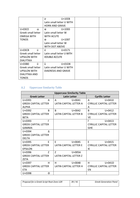|                      | ù<br>$U+1EEB$              |  |
|----------------------|----------------------------|--|
|                      | Latin small letter U WITH  |  |
|                      | <b>HORN AND GRAVE</b>      |  |
| ώ<br>U+03CE          | Ŵ<br>$U+1E83$              |  |
| Greek small letter   | Latin small letter W       |  |
| <b>OMEGA WITH</b>    | <b>WITH ACUTE</b>          |  |
| <b>TONOS</b>         | U+1E87<br>Ŵ                |  |
|                      | Latin small letter W       |  |
|                      | <b>WITH DOT ABOVE</b>      |  |
| Ü<br>$U+03CB$        | ű<br>$U + 0171$            |  |
| Greek small letter   | Latin small letter U WITH  |  |
| <b>UPSILON WITH</b>  | <b>DOUBLE ACCUTE</b>       |  |
| <b>DIALYTIKA</b>     |                            |  |
| ΰ<br>U+03B0          | ù<br>U+01D8                |  |
| Greek small letter   | Latin small letter U WITH  |  |
| <b>UPSILON WITH</b>  | <b>DIAERESIS AND GRAVE</b> |  |
| <b>DIALYTIKA AND</b> |                            |  |
| <b>TONOS</b>         |                            |  |

## <span id="page-38-0"></span>A.2 Uppercase Similarity Table

| <b>Uppercase Similarity Table</b> |                               |                                |  |  |  |
|-----------------------------------|-------------------------------|--------------------------------|--|--|--|
| <b>Greek Letter</b>               | <b>Latin Letter</b>           | <b>Cyrillic Letter</b>         |  |  |  |
| $U + 0391$<br>A                   | $U + 0041$<br>A               | $U + 0410$<br>A                |  |  |  |
| <b>GREEK CAPITAL LETTER</b>       | LATIN CAPITAL LETTER A        | <b>CYRILLIC CAPITAL LETTER</b> |  |  |  |
| <b>ALPHA</b>                      |                               | A                              |  |  |  |
| $U + 0392$<br><sub>R</sub>        | B<br>$U + 0042$               | B<br>$U + 0412$                |  |  |  |
| <b>GREEK CAPITAL LETTER</b>       | LATIN CAPITAL LETTER B        | <b>CYRILLIC CAPITAL LETTER</b> |  |  |  |
| <b>BETA</b>                       |                               | <b>VE</b>                      |  |  |  |
| Г<br>$U + 0393$                   |                               | $U + 0413$<br>Г                |  |  |  |
| <b>GREEK CAPITAL LETTER</b>       |                               | <b>CYRILLIC CAPITAL LETTER</b> |  |  |  |
| <b>GAMMA</b>                      |                               | <b>GHE</b>                     |  |  |  |
| $U + 0394$<br>Λ                   |                               |                                |  |  |  |
| <b>GREEK CAPITAL LETTER</b>       |                               |                                |  |  |  |
| <b>DELTA</b>                      |                               |                                |  |  |  |
| $U + 0395$<br>F                   | F<br>$U + 0045$               | F<br>$U + 0415$                |  |  |  |
| <b>GREEK CAPITAL LETTER</b>       | <b>LATIN CAPITAL LETTER E</b> | <b>CYRILLIC CAPITAL LETTER</b> |  |  |  |
| <b>EPSILON</b>                    |                               | IE                             |  |  |  |
| U+0396<br>$\overline{7}$          | $\overline{7}$<br>U+005A      |                                |  |  |  |
| <b>GREEK CAPITAL LETTER</b>       | <b>LATIN CAPITAL LETTER Z</b> |                                |  |  |  |
| <b>ZETA</b>                       |                               |                                |  |  |  |
| $U + 0397$<br>н                   | н<br>$U + 0048$               | н<br>$U+041D$                  |  |  |  |
| <b>GREEK CAPITAL LETTER</b>       | LATIN CAPITAL LETTER H        | <b>CYRILLIC CAPITAL LETTER</b> |  |  |  |
| <b>ETA</b>                        |                               | EN                             |  |  |  |
| $U + 0398$<br>Θ                   |                               |                                |  |  |  |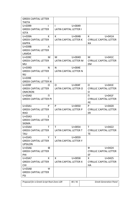| <b>GREEK CAPITAL LETTER</b>    |                               |                                |
|--------------------------------|-------------------------------|--------------------------------|
| <b>THETA</b>                   |                               |                                |
| $U + 0399$<br>ı                | $U + 0049$<br>$\mathbf{I}$    |                                |
| <b>GREEK CAPITAL LETTER</b>    | <b>LATIN CAPITAL LETTER I</b> |                                |
| <b>IOTA</b>                    |                               |                                |
| U+039A<br>К                    | $U+OO4B$<br>K.                | K<br>U+041A                    |
| <b>GREEK CAPITAL LETTER</b>    | <b>LATIN CAPITAL LETTER K</b> | <b>CYRILLIC CAPITAL LETTER</b> |
| <b>KAPPA</b>                   |                               | KA                             |
| $U+0.39B$<br>Λ                 |                               |                                |
| <b>GREEK CAPITAL LETTER</b>    |                               |                                |
| LAMDA                          |                               |                                |
| U+039C<br>M                    | М<br>U+004D                   | $U+041C$<br>M                  |
| <b>GREEK CAPITAL LETTER</b>    | LATIN CAPITAL LETTER M        | <b>CYRILLIC CAPITAL LETTER</b> |
| MU.                            |                               | EM                             |
| N<br>U+039D                    | N<br>$U+004E$                 |                                |
| <b>GREEK CAPITAL LETTER</b>    | <b>LATIN CAPITAL LETTER N</b> |                                |
| <b>NU</b>                      |                               |                                |
| U+039E<br>Ξ                    |                               |                                |
| <b>GREEK CAPITAL LETTER XI</b> |                               |                                |
| U+039F<br>O                    | $U+004F$<br>O                 | $U+041E$<br>O                  |
| <b>GREEK CAPITAL LETTER</b>    | LATIN CAPITAL LETTER O        | <b>CYRILLIC CAPITAL LETTER</b> |
| <b>OMICRON</b>                 |                               | 0                              |
| U+03A0<br>n.                   |                               | $U+041F$<br>$\mathsf{\Pi}$     |
| <b>GREEK CAPITAL LETTER PI</b> |                               | <b>CYRILLIC CAPITAL LETTER</b> |
|                                |                               | PE                             |
| U+03A1<br>P                    | $U + 0050$<br>P               | $U + 0420$<br>P                |
| <b>GREEK CAPITAL LETTER</b>    | <b>LATIN CAPITAL LETTER P</b> | <b>CYRILLIC CAPITAL LETTER</b> |
| <b>RHO</b>                     |                               | ER                             |
| $U+03A3$<br>Σ                  |                               |                                |
| <b>GREEK CAPITAL LETTER</b>    |                               |                                |
| <b>SIGMA</b>                   |                               |                                |
| U+03A4<br>т                    | $U + 0054$<br>T.              | $U + 0422$<br>T.               |
| <b>GREEK CAPITAL LETTER</b>    | LATIN CAPITAL LETTER T        | <b>CYRILLIC CAPITAL LETTER</b> |
| <b>TAU</b>                     |                               | TE                             |
| Y<br>$U+03A5$                  | Y<br>$U + 0059$               |                                |
| <b>GREEK CAPITAL LETTER</b>    | <b>LATIN CAPITAL LETTER Y</b> |                                |
| <b>UPSILON</b>                 |                               |                                |
| Ф<br>U+03A6                    |                               | $U + 0424$<br>Ф                |
| <b>GREEK CAPITAL LETTER</b>    |                               | <b>CYRILLIC CAPITAL LETTER</b> |
| PHI                            |                               | EF                             |
| U+03A7<br>X                    | $U + 0058$<br>X.              | $U + 0425$<br>X.               |
| <b>GREEK CAPITAL LETTER</b>    | LATIN CAPITAL LETTER X        | <b>CYRILLIC CAPITAL LETTER</b> |
| <b>CHI</b>                     |                               | HA                             |
| U+03A8<br>Ψ                    |                               |                                |
| <b>GREEK CAPITAL LETTER</b>    |                               |                                |
| PSI                            |                               |                                |